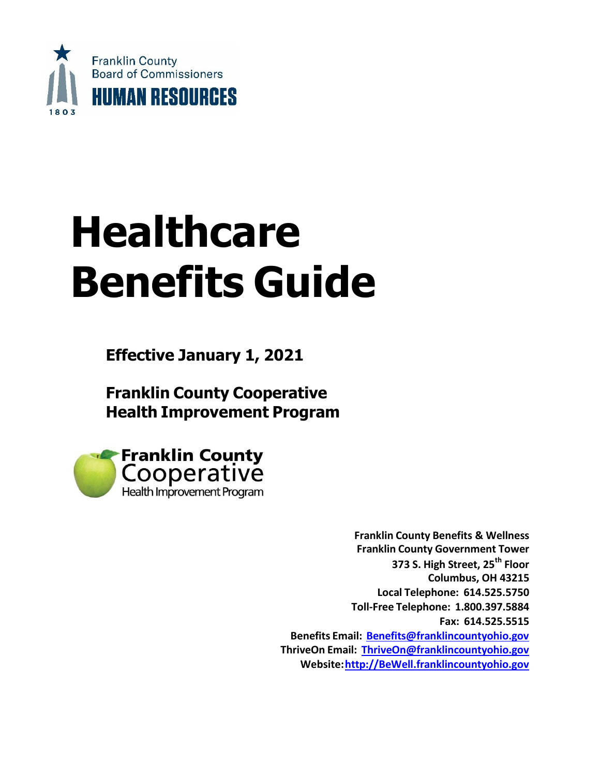

# **Healthcare Benefits Guide**

**Effective January 1, 2021**

**Franklin County Cooperative Health Improvement Program**



**Franklin County Benefits & Wellness Franklin County Government Tower 373 S. High Street, 25th Floor Columbus, OH 43215 Local Telephone: 614.525.5750 Toll-Free Telephone: 1.800.397.5884 Fax: 614.525.5515 Benefits Email: [Benefits@franklincountyohio.gov](mailto:Benefits@franklincountyohio.gov) ThriveOn Email: [ThriveOn@franklincountyohio.gov](mailto:ThriveOn@franklincountyohio.gov) Website[:http://BeWell.franklincountyohio.gov](http://bewell.franklincountyohio.gov/)**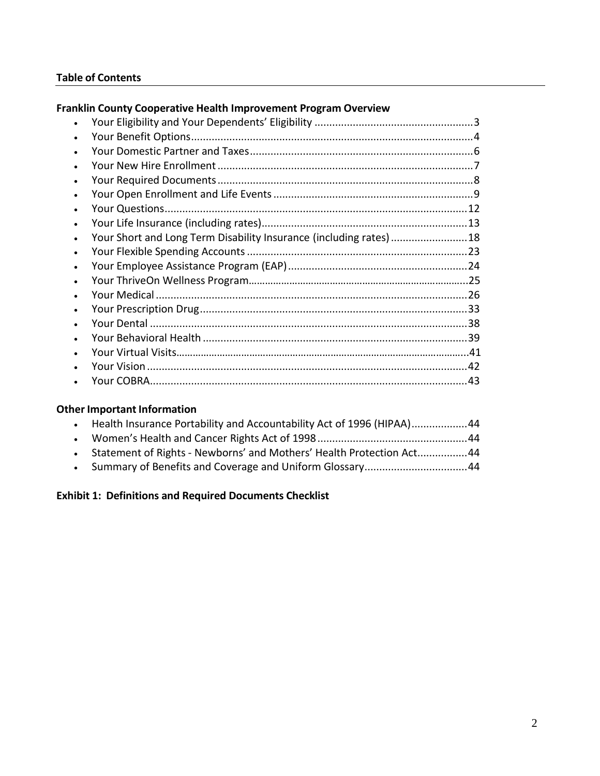### **Table of Contents**

### **Franklin County Cooperative Health Improvement Program Overview**

| $\bullet$ |                                                                   |    |
|-----------|-------------------------------------------------------------------|----|
|           |                                                                   |    |
|           |                                                                   |    |
|           |                                                                   |    |
| $\bullet$ | Your Short and Long Term Disability Insurance (including rates)18 |    |
| $\bullet$ |                                                                   |    |
| $\bullet$ |                                                                   |    |
| ٠         |                                                                   |    |
|           |                                                                   |    |
|           |                                                                   |    |
|           |                                                                   |    |
|           |                                                                   |    |
|           |                                                                   |    |
|           |                                                                   |    |
|           |                                                                   | 43 |

### **Other Important [Information](#page-44-0)**

| $\bullet$ | Health Insurance Portability and Accountability Act of 1996 (HIPAA)44  |  |
|-----------|------------------------------------------------------------------------|--|
|           |                                                                        |  |
|           | • Statement of Rights - Newborns' and Mothers' Health Protection Act44 |  |
|           |                                                                        |  |

### **Exhibit 1: Definitions and Required Documents Checklist**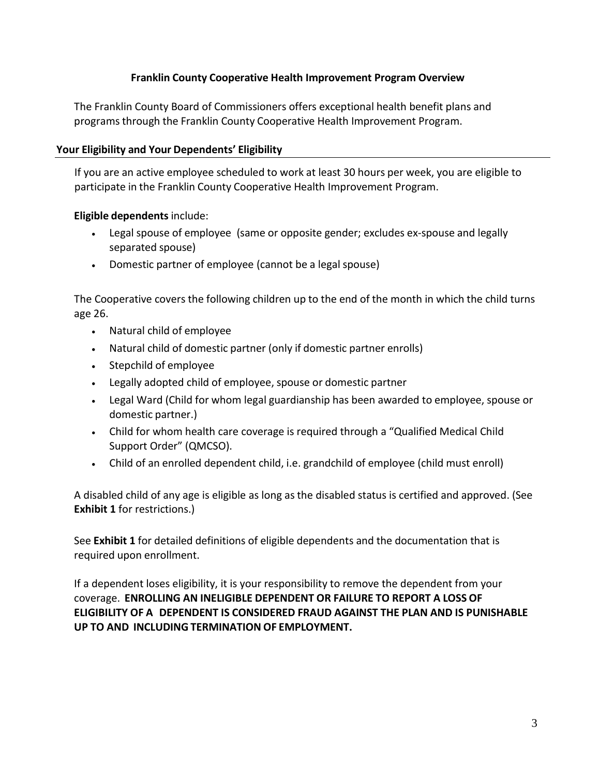### **Franklin County Cooperative Health Improvement Program Overview**

The Franklin County Board of Commissioners offers exceptional health benefit plans and programsthrough the Franklin County Cooperative Health Improvement Program.

### <span id="page-2-0"></span>**Your Eligibility and Your Dependents' Eligibility**

If you are an active employee scheduled to work at least 30 hours per week, you are eligible to participate in the Franklin County Cooperative Health Improvement Program.

### **Eligible dependents** include:

- Legal spouse of employee (same or opposite gender; excludes ex-spouse and legally separated spouse)
- Domestic partner of employee (cannot be a legal spouse)

The Cooperative covers the following children up to the end of the month in which the child turns age 26.

- Natural child of employee
- Natural child of domestic partner (only if domestic partner enrolls)
- Stepchild of employee
- Legally adopted child of employee, spouse or domestic partner
- Legal Ward (Child for whom legal guardianship has been awarded to employee, spouse or domestic partner.)
- Child for whom health care coverage is required through a "Qualified Medical Child Support Order" (QMCSO).
- Child of an enrolled dependent child, i.e. grandchild of employee (child must enroll)

A disabled child of any age is eligible as long as the disabled status is certified and approved. (See **Exhibit 1** for restrictions.)

See **Exhibit 1** for detailed definitions of eligible dependents and the documentation that is required upon enrollment.

If a dependent loses eligibility, it is your responsibility to remove the dependent from your coverage. **ENROLLING AN INELIGIBLE DEPENDENT OR FAILURE TO REPORT A LOSS OF ELIGIBILITY OF A DEPENDENT IS CONSIDERED FRAUD AGAINST THE PLAN AND IS PUNISHABLE UP TO AND INCLUDING TERMINATION OF EMPLOYMENT.**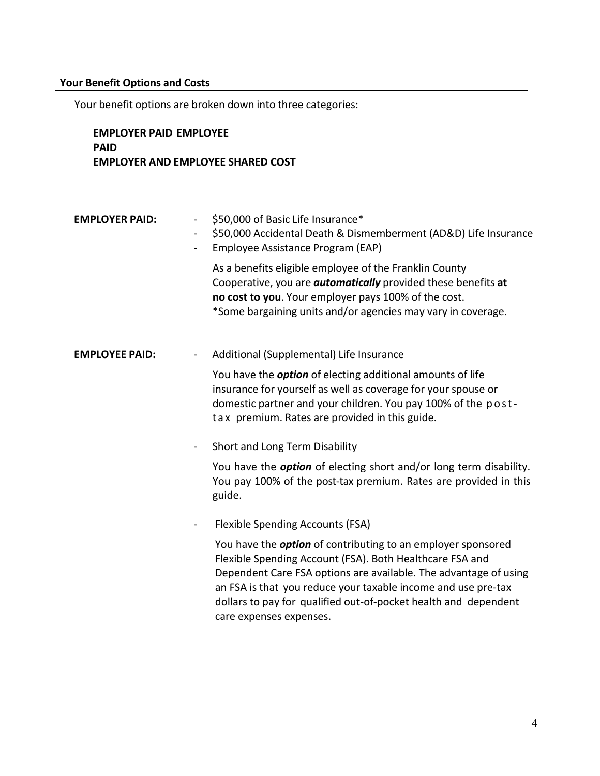### <span id="page-3-0"></span>**Your Benefit Options and Costs**

Your benefit options are broken down into three categories:

### **EMPLOYER PAID EMPLOYEE PAID EMPLOYER AND EMPLOYEE SHARED COST**

### **EMPLOYER PAID:** - \$50,000 of Basic Life Insurance\*

- \$50,000 Accidental Death & Dismemberment (AD&D) Life Insurance
- Employee Assistance Program (EAP)

As a benefits eligible employee of the Franklin County Cooperative, you are *automatically* provided these benefits **at no cost to you**. Your employer pays 100% of the cost. \*Some bargaining units and/or agencies may vary in coverage.

### **EMPLOYEE PAID:** - Additional (Supplemental) Life Insurance

You have the *option* of electing additional amounts of life insurance for yourself as well as coverage for your spouse or domestic partner and your children. You pay 100% of the postt a x premium. Rates are provided in this guide.

- Short and Long Term Disability

You have the *option* of electing short and/or long term disability. You pay 100% of the post-tax premium. Rates are provided in this guide.

- Flexible Spending Accounts (FSA)

You have the *option* of contributing to an employer sponsored Flexible Spending Account (FSA). Both Healthcare FSA and Dependent Care FSA options are available. The advantage of using an FSA is that you reduce your taxable income and use pre-tax dollars to pay for qualified out-of-pocket health and dependent care expenses expenses.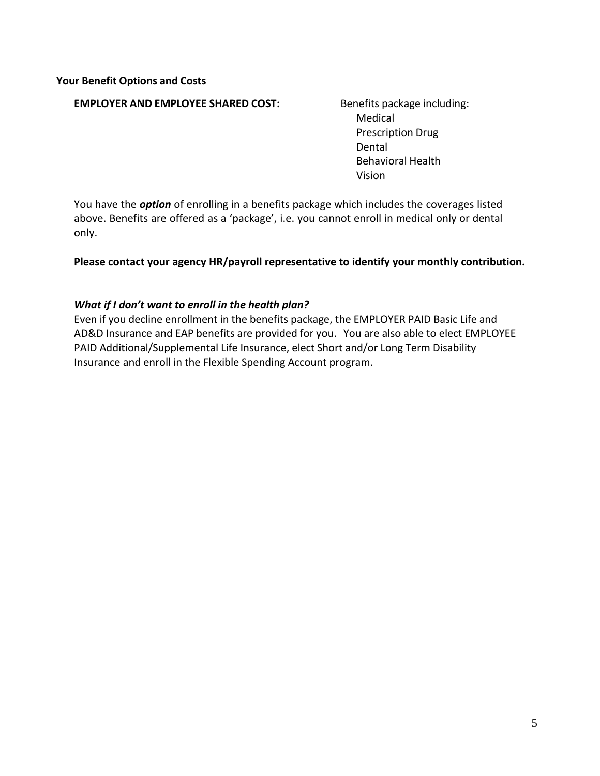### **EMPLOYER AND EMPLOYEE SHARED COST:** Benefits package including:

Medical Prescription Drug Dental Behavioral Health Vision

You have the *option* of enrolling in a benefits package which includes the coverages listed above. Benefits are offered as a 'package', i.e. you cannot enroll in medical only or dental only.

**Please contact your agency HR/payroll representative to identify your monthly contribution.** 

### *What if I don't want to enroll in the health plan?*

<span id="page-4-0"></span>Even if you decline enrollment in the benefits package, the EMPLOYER PAID Basic Life and AD&D Insurance and EAP benefits are provided for you. You are also able to elect EMPLOYEE PAID Additional/Supplemental Life Insurance, elect Short and/or Long Term Disability Insurance and enroll in the Flexible Spending Account program.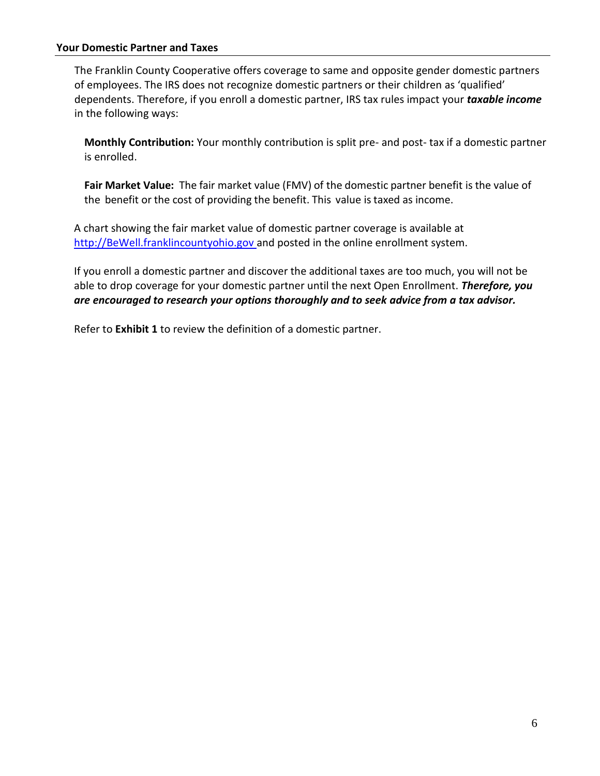### **Your Domestic Partner and Taxes**

The Franklin County Cooperative offers coverage to same and opposite gender domestic partners of employees. The IRS does not recognize domestic partners or their children as 'qualified' dependents. Therefore, if you enroll a domestic partner, IRS tax rules impact your *taxable income* in the following ways:

**Monthly Contribution:** Your monthly contribution is split pre- and post- tax if a domestic partner is enrolled.

**Fair Market Value:** The fair market value (FMV) of the domestic partner benefit is the value of the benefit or the cost of providing the benefit. This value is taxed as income.

A chart showing the fair market value of domestic partner coverage is available at [http://BeWell.franklincountyohio.gov a](http://bewell.franklincountyohio.gov/)nd posted in the online enrollment system.

If you enroll a domestic partner and discover the additional taxes are too much, you will not be able to drop coverage for your domestic partner until the next Open Enrollment. *Therefore, you are encouraged to research your options thoroughly and to seek advice from a tax advisor.*

Refer to **Exhibit 1** to review the definition of a domestic partner.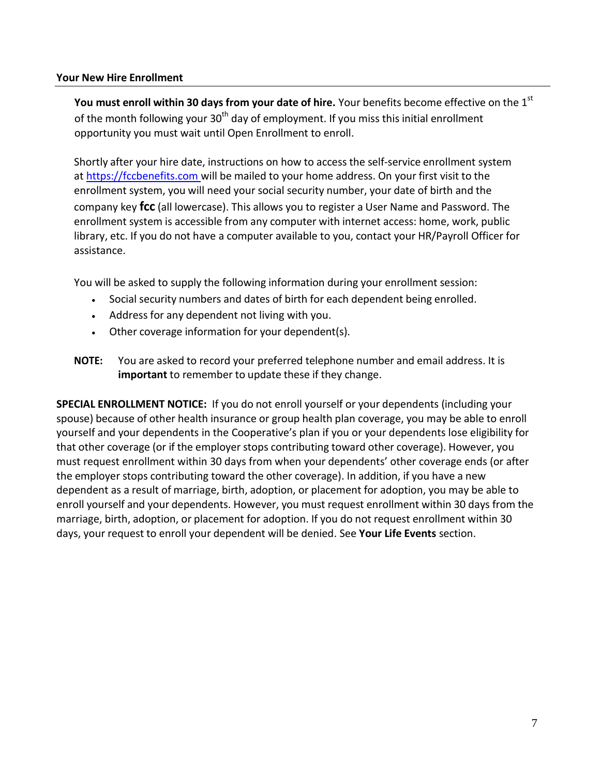### <span id="page-6-0"></span>**Your New Hire Enrollment**

**You must enroll within 30 days from your date of hire.** Your benefits become effective on the 1 st of the month following your  $30<sup>th</sup>$  day of employment. If you miss this initial enrollment opportunity you must wait until Open Enrollment to enroll.

Shortly after your hire date, instructions on how to access the self-service enrollment system at [https://fccbenefits.com](https://fccbenefits.com/) will be mailed to your home address. On your first visit to the enrollment system, you will need your social security number, your date of birth and the company key **fcc** (all lowercase). This allows you to register a User Name and Password. The enrollment system is accessible from any computer with internet access: home, work, public library, etc. If you do not have a computer available to you, contact your HR/Payroll Officer for assistance.

You will be asked to supply the following information during your enrollment session:

- Social security numbers and dates of birth for each dependent being enrolled.
- Address for any dependent not living with you.
- Other coverage information for your dependent(s).
- **NOTE:** You are asked to record your preferred telephone number and email address. It is **important** to remember to update these if they change.

**SPECIAL ENROLLMENT NOTICE:** If you do not enroll yourself or your dependents (including your spouse) because of other health insurance or group health plan coverage, you may be able to enroll yourself and your dependents in the Cooperative's plan if you or your dependents lose eligibility for that other coverage (or if the employer stops contributing toward other coverage). However, you must request enrollment within 30 days from when your dependents' other coverage ends (or after the employer stops contributing toward the other coverage). In addition, if you have a new dependent as a result of marriage, birth, adoption, or placement for adoption, you may be able to enroll yourself and your dependents. However, you must request enrollment within 30 days from the marriage, birth, adoption, or placement for adoption. If you do not request enrollment within 30 days, your request to enroll your dependent will be denied. See **Your Life Events** section.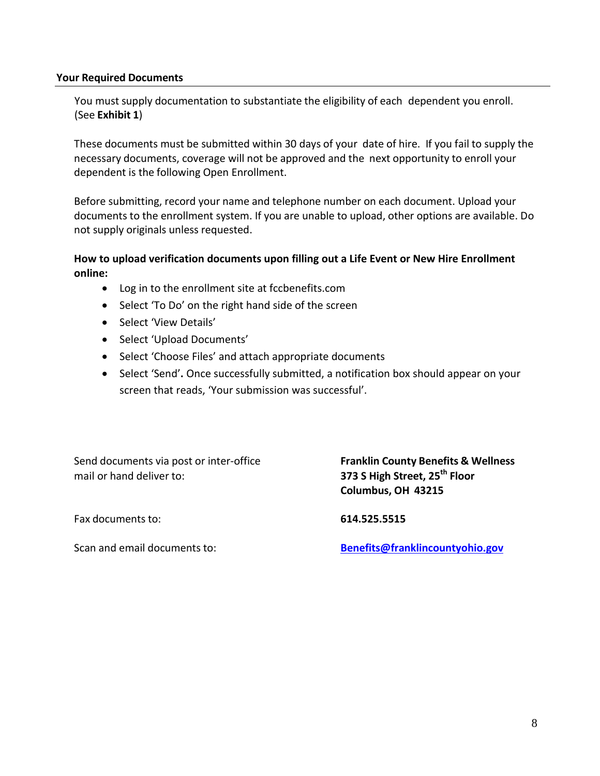### <span id="page-7-0"></span>**Your Required Documents**

You must supply documentation to substantiate the eligibility of each dependent you enroll. (See **Exhibit 1**)

These documents must be submitted within 30 days of your date of hire. If you fail to supply the necessary documents, coverage will not be approved and the next opportunity to enroll your dependent is the following Open Enrollment.

Before submitting, record your name and telephone number on each document. Upload your documents to the enrollment system. If you are unable to upload, other options are available. Do not supply originals unless requested.

### **How to upload verification documents upon filling out a Life Event or New Hire Enrollment online:**

- Log in to the enrollment site at fccbenefits.com
- Select 'To Do' on the right hand side of the screen
- Select 'View Details'
- Select 'Upload Documents'
- Select 'Choose Files' and attach appropriate documents
- Select 'Send'**.** Once successfully submitted, a notification box should appear on your screen that reads, 'Your submission was successful'.

Send documents via post or inter-office **Franklin County Benefits & Wellness** mail or hand deliver to: **373 S High Street, 25th Floor**

**Columbus, OH 43215**

Fax documents to: **614.525.5515**

Scan and email documents to: **[Benefits@franklincountyohio.gov](mailto:Benefits@franklincountyohio.gov)**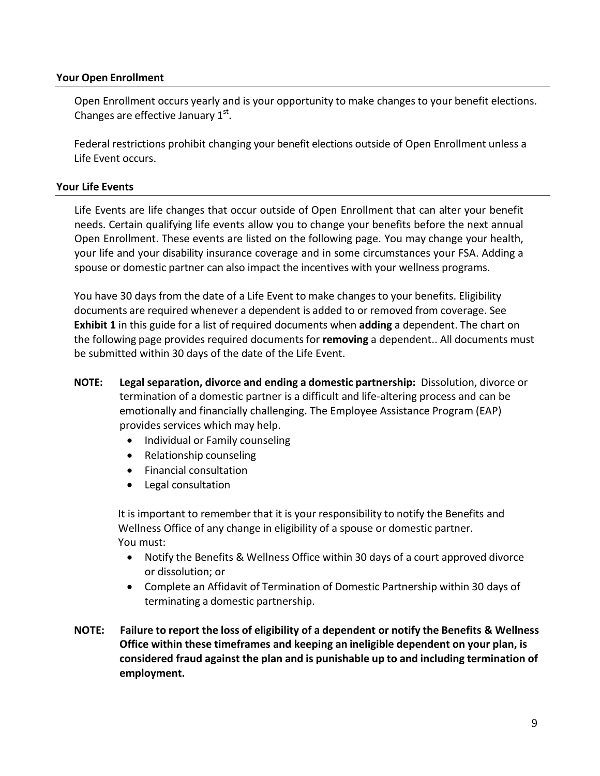### **Your Open Enrollment**

Open Enrollment occurs yearly and is your opportunity to make changesto your benefit elections. Changes are effective January  $1<sup>st</sup>$ .

Federal restrictions prohibit changing your benefit elections outside of Open Enrollment unless a Life Event occurs.

### **Your Life Events**

Life Events are life changes that occur outside of Open Enrollment that can alter your benefit needs. Certain qualifying life events allow you to change your benefits before the next annual Open Enrollment. These events are listed on the following page. You may change your health, your life and your disability insurance coverage and in some circumstances your FSA. Adding a spouse or domestic partner can also impact the incentives with your wellness programs.

You have 30 days from the date of a Life Event to make changes to your benefits. Eligibility documents are required whenever a dependent is added to or removed from coverage. See **Exhibit 1** in this guide for a list of required documents when **adding** a dependent. The chart on the following page provides required documentsfor **removing** a dependent.. All documents must be submitted within 30 days of the date of the Life Event.

- **NOTE: Legal separation, divorce and ending a domestic partnership:** Dissolution, divorce or termination of a domestic partner is a difficult and life-altering process and can be emotionally and financially challenging. The Employee Assistance Program (EAP) provides services which may help.
	- Individual or Family counseling
	- Relationship counseling
	- Financial consultation
	- Legal consultation

It is important to remember that it is your responsibility to notify the Benefits and Wellness Office of any change in eligibility of a spouse or domestic partner. You must:

- Notify the Benefits & Wellness Office within 30 days of a court approved divorce or dissolution; or
- Complete an Affidavit of Termination of Domestic Partnership within 30 days of terminating a domestic partnership.
- **NOTE: Failure to report the loss of eligibility of a dependent or notify the Benefits & Wellness Office within these timeframes and keeping an ineligible dependent on your plan, is considered fraud against the plan and is punishable up to and including termination of employment.**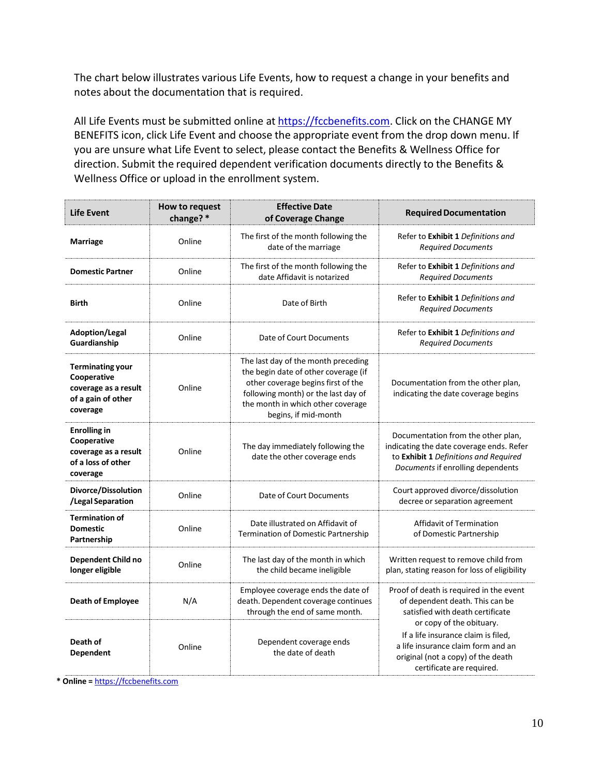The chart below illustrates various Life Events, how to request a change in your benefits and notes about the documentation that is required.

All Life Events must be submitted online at [https://fccbenefits.com.](https://fccbenefits.com/) Click on the CHANGE MY BENEFITS icon, click Life Event and choose the appropriate event from the drop down menu. If you are unsure what Life Event to select, please contact the Benefits & Wellness Office for direction. Submit the required dependent verification documents directly to the Benefits & Wellness Office or upload in the enrollment system.

| <b>Effective Date</b><br>How to request<br><b>Life Event</b><br>change? *<br>of Coverage Change  |        | <b>Required Documentation</b>                                                                                                                                                                                         |                                                                                                                                                              |
|--------------------------------------------------------------------------------------------------|--------|-----------------------------------------------------------------------------------------------------------------------------------------------------------------------------------------------------------------------|--------------------------------------------------------------------------------------------------------------------------------------------------------------|
| Marriage                                                                                         | Online | The first of the month following the<br>date of the marriage                                                                                                                                                          | Refer to Exhibit 1 Definitions and<br><b>Required Documents</b>                                                                                              |
| <b>Domestic Partner</b>                                                                          | Online | The first of the month following the<br>date Affidavit is notarized                                                                                                                                                   | Refer to Exhibit 1 Definitions and<br><b>Required Documents</b>                                                                                              |
| <b>Birth</b>                                                                                     | Online | Date of Birth                                                                                                                                                                                                         | Refer to Exhibit 1 Definitions and<br><b>Required Documents</b>                                                                                              |
| <b>Adoption/Legal</b><br>Guardianship                                                            | Online | Date of Court Documents                                                                                                                                                                                               | Refer to Exhibit 1 Definitions and<br><b>Required Documents</b>                                                                                              |
| <b>Terminating your</b><br>Cooperative<br>coverage as a result<br>of a gain of other<br>coverage | Online | The last day of the month preceding<br>the begin date of other coverage (if<br>other coverage begins first of the<br>following month) or the last day of<br>the month in which other coverage<br>begins, if mid-month | Documentation from the other plan,<br>indicating the date coverage begins                                                                                    |
| <b>Enrolling in</b><br>Cooperative<br>coverage as a result<br>of a loss of other<br>coverage     | Online | The day immediately following the<br>date the other coverage ends                                                                                                                                                     | Documentation from the other plan,<br>indicating the date coverage ends. Refer<br>to Exhibit 1 Definitions and Required<br>Documents if enrolling dependents |
| Divorce/Dissolution<br>/Legal Separation                                                         | Online | Date of Court Documents                                                                                                                                                                                               | Court approved divorce/dissolution<br>decree or separation agreement                                                                                         |
| <b>Termination of</b><br><b>Domestic</b><br>Partnership                                          | Online | Date illustrated on Affidavit of<br>Termination of Domestic Partnership                                                                                                                                               | Affidavit of Termination<br>of Domestic Partnership                                                                                                          |
| Dependent Child no<br>longer eligible                                                            | Online | The last day of the month in which<br>the child became ineligible                                                                                                                                                     | Written request to remove child from<br>plan, stating reason for loss of eligibility                                                                         |
| <b>Death of Employee</b>                                                                         | N/A    | Employee coverage ends the date of<br>death. Dependent coverage continues<br>through the end of same month.                                                                                                           | Proof of death is required in the event<br>of dependent death. This can be<br>satisfied with death certificate<br>or copy of the obituary.                   |
| Death of<br><b>Dependent</b>                                                                     | Online | Dependent coverage ends<br>the date of death                                                                                                                                                                          | If a life insurance claim is filed,<br>a life insurance claim form and an<br>original (not a copy) of the death<br>certificate are required.                 |

**\* Online =** [https://fccbenefits.com](https://fccbenefits.com/)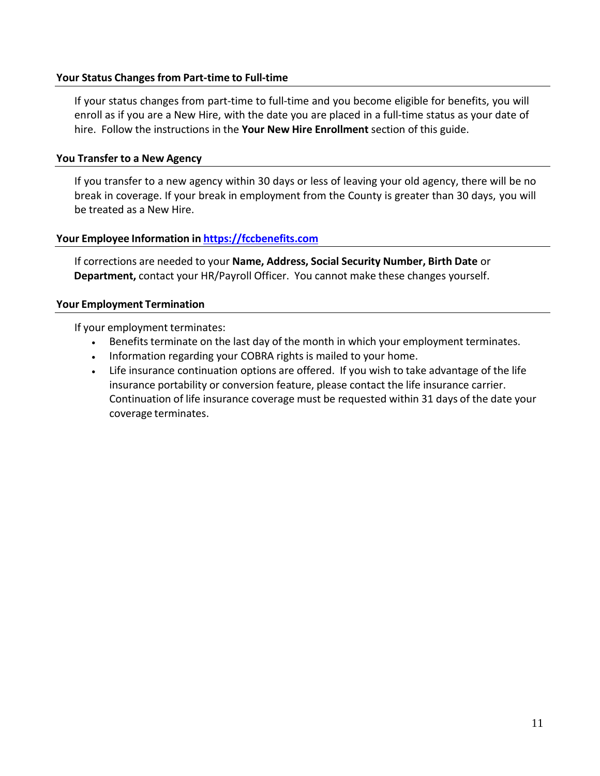### **Your Status Changes from Part-time to Full-time**

If your status changes from part-time to full-time and you become eligible for benefits, you will enroll as if you are a New Hire, with the date you are placed in a full-time status as your date of hire. Follow the instructions in the **Your New Hire Enrollment** section of this guide.

### **You Transfer to a New Agency**

If you transfer to a new agency within 30 days or less of leaving your old agency, there will be no break in coverage. If your break in employment from the County is greater than 30 days, you will be treated as a New Hire.

### **Your Employee Information in [https://fccbenefits.com](https://fccbenefits.com/)**

If corrections are needed to your **Name, Address, Social Security Number, Birth Date** or **Department,** contact your HR/Payroll Officer. You cannot make these changes yourself.

### **Your Employment Termination**

If your employment terminates:

- Benefits terminate on the last day of the month in which your employment terminates.
- Information regarding your COBRA rights is mailed to your home.
- Life insurance continuation options are offered. If you wish to take advantage of the life insurance portability or conversion feature, please contact the life insurance carrier. Continuation of life insurance coverage must be requested within 31 days of the date your coverage terminates.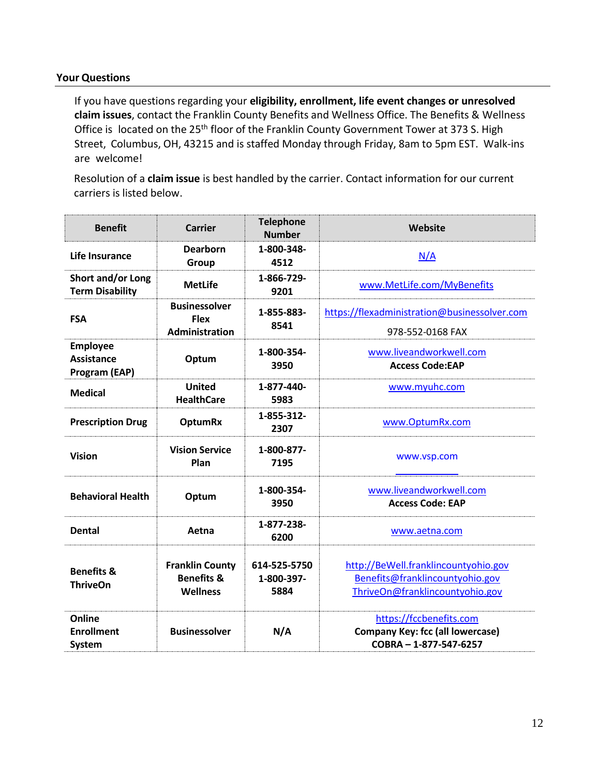### <span id="page-11-0"></span>**Your Questions**

If you have questions regarding your **eligibility, enrollment, life event changes or unresolved claim issues**, contact the Franklin County Benefits and Wellness Office. The Benefits & Wellness Office is located on the 25<sup>th</sup> floor of the Franklin County Government Tower at 373 S. High Street, Columbus, OH, 43215 and is staffed Monday through Friday, 8am to 5pm EST. Walk-ins are welcome!

Resolution of a **claim issue** is best handled by the carrier. Contact information for our current carriers is listed below.

| <b>Benefit</b>                                        | <b>Carrier</b>                                                     | <b>Telephone</b><br><b>Number</b>  | Website                                                                                                    |
|-------------------------------------------------------|--------------------------------------------------------------------|------------------------------------|------------------------------------------------------------------------------------------------------------|
| <b>Life Insurance</b>                                 | <b>Dearborn</b><br>Group                                           | 1-800-348-<br>4512                 | N/A                                                                                                        |
| Short and/or Long<br><b>Term Disability</b>           | <b>MetLife</b>                                                     | 1-866-729-<br>9201                 | www.MetLife.com/MyBenefits                                                                                 |
| <b>FSA</b>                                            | <b>Businessolver</b><br><b>Flex</b><br><b>Administration</b>       | 1-855-883-<br>8541                 | https://flexadministration@businessolver.com<br>978-552-0168 FAX                                           |
| <b>Employee</b><br><b>Assistance</b><br>Program (EAP) | Optum                                                              | 1-800-354-<br>3950                 | www.liveandworkwell.com<br><b>Access Code:EAP</b>                                                          |
| <b>Medical</b>                                        | <b>United</b><br><b>HealthCare</b>                                 | 1-877-440-<br>5983                 | www.myuhc.com                                                                                              |
| <b>Prescription Drug</b>                              | <b>OptumRx</b>                                                     | 1-855-312-<br>2307                 | www.OptumRx.com                                                                                            |
| <b>Vision</b>                                         | <b>Vision Service</b><br>Plan                                      | 1-800-877-<br>7195                 | www.vsp.com                                                                                                |
| <b>Behavioral Health</b>                              | Optum                                                              | 1-800-354-<br>3950                 | www.liveandworkwell.com<br><b>Access Code: EAP</b>                                                         |
| <b>Dental</b>                                         | Aetna                                                              | 1-877-238-<br>6200                 | www.aetna.com                                                                                              |
| <b>Benefits &amp;</b><br><b>ThriveOn</b>              | <b>Franklin County</b><br><b>Benefits &amp;</b><br><b>Wellness</b> | 614-525-5750<br>1-800-397-<br>5884 | http://BeWell.franklincountyohio.gov<br>Benefits@franklincountyohio.gov<br>ThriveOn@franklincountyohio.gov |
| Online<br><b>Enrollment</b><br>System                 | <b>Businessolver</b>                                               | N/A                                | https://fccbenefits.com<br><b>Company Key: fcc (all lowercase)</b><br>COBRA - 1-877-547-6257               |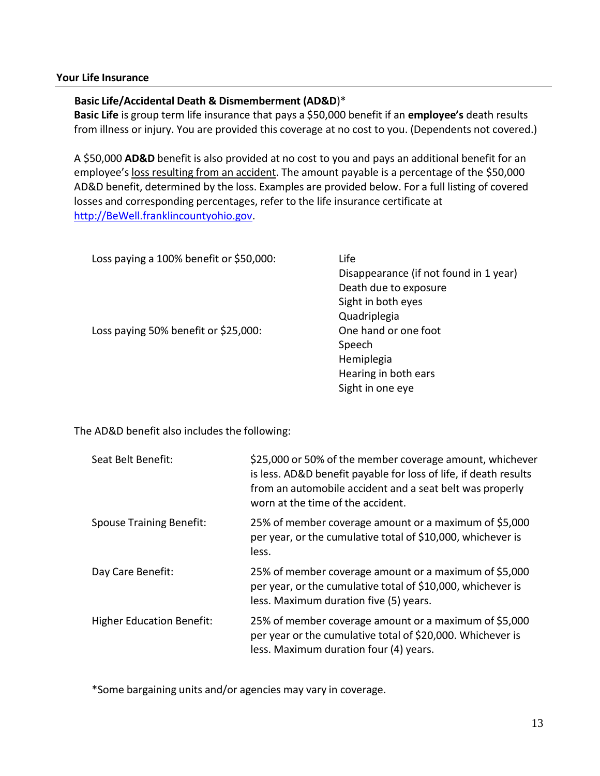### **Your Life Insurance**

### **Basic Life/Accidental Death & Dismemberment (AD&D**)\*

**Basic Life** is group term life insurance that pays a \$50,000 benefit if an **employee's** death results from illness or injury. You are provided this coverage at no cost to you. (Dependents not covered.)

A \$50,000 **AD&D** benefit is also provided at no cost to you and pays an additional benefit for an employee's loss resulting from an accident. The amount payable is a percentage of the \$50,000 AD&D benefit, determined by the loss. Examples are provided below. For a full listing of covered losses and corresponding percentages, refer to the life insurance certificate at [http://BeWell.franklincountyohio.gov.](http://bewell.franklincountyohio.gov/)

| Loss paying a 100% benefit or \$50,000: | Life                                   |
|-----------------------------------------|----------------------------------------|
|                                         | Disappearance (if not found in 1 year) |
|                                         | Death due to exposure                  |
|                                         | Sight in both eyes                     |
|                                         | Quadriplegia                           |
| Loss paying 50% benefit or \$25,000:    | One hand or one foot                   |
|                                         | Speech                                 |
|                                         | Hemiplegia                             |
|                                         | Hearing in both ears                   |
|                                         | Sight in one eye                       |

The AD&D benefit also includes the following:

| Seat Belt Benefit:               | \$25,000 or 50% of the member coverage amount, whichever<br>is less. AD&D benefit payable for loss of life, if death results<br>from an automobile accident and a seat belt was properly<br>worn at the time of the accident. |
|----------------------------------|-------------------------------------------------------------------------------------------------------------------------------------------------------------------------------------------------------------------------------|
| <b>Spouse Training Benefit:</b>  | 25% of member coverage amount or a maximum of \$5,000<br>per year, or the cumulative total of \$10,000, whichever is<br>less.                                                                                                 |
| Day Care Benefit:                | 25% of member coverage amount or a maximum of \$5,000<br>per year, or the cumulative total of \$10,000, whichever is<br>less. Maximum duration five (5) years.                                                                |
| <b>Higher Education Benefit:</b> | 25% of member coverage amount or a maximum of \$5,000<br>per year or the cumulative total of \$20,000. Whichever is<br>less. Maximum duration four (4) years.                                                                 |

\*Some bargaining units and/or agencies may vary in coverage.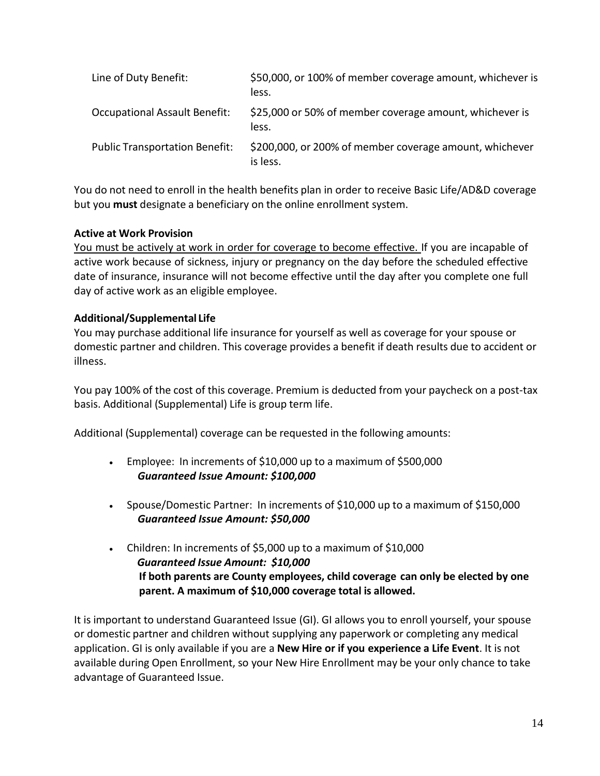| Line of Duty Benefit:                 | \$50,000, or 100% of member coverage amount, whichever is<br>less.  |
|---------------------------------------|---------------------------------------------------------------------|
| <b>Occupational Assault Benefit:</b>  | \$25,000 or 50% of member coverage amount, whichever is<br>less.    |
| <b>Public Transportation Benefit:</b> | \$200,000, or 200% of member coverage amount, whichever<br>is less. |

You do not need to enroll in the health benefits plan in order to receive Basic Life/AD&D coverage but you **must** designate a beneficiary on the online enrollment system.

### **Active at Work Provision**

You must be actively at work in order for coverage to become effective. If you are incapable of active work because of sickness, injury or pregnancy on the day before the scheduled effective date of insurance, insurance will not become effective until the day after you complete one full day of active work as an eligible employee.

### **Additional/Supplemental Life**

You may purchase additional life insurance for yourself as well as coverage for your spouse or domestic partner and children. This coverage provides a benefit if death results due to accident or illness.

You pay 100% of the cost of this coverage. Premium is deducted from your paycheck on a post-tax basis. Additional (Supplemental) Life is group term life.

Additional (Supplemental) coverage can be requested in the following amounts:

- Employee: In increments of \$10,000 up to a maximum of \$500,000  *Guaranteed Issue Amount: \$100,000*
- Spouse/Domestic Partner: In increments of \$10,000 up to a maximum of \$150,000  *Guaranteed Issue Amount: \$50,000*
- Children: In increments of \$5,000 up to a maximum of \$10,000  *Guaranteed Issue Amount: \$10,000* **If both parents are County employees, child coverage can only be elected by one parent. A maximum of \$10,000 coverage total is allowed.**

It is important to understand Guaranteed Issue (GI). GI allows you to enroll yourself, your spouse or domestic partner and children without supplying any paperwork or completing any medical application. GI is only available if you are a **New Hire or if you experience a Life Event**. It is not available during Open Enrollment, so your New Hire Enrollment may be your only chance to take advantage of Guaranteed Issue.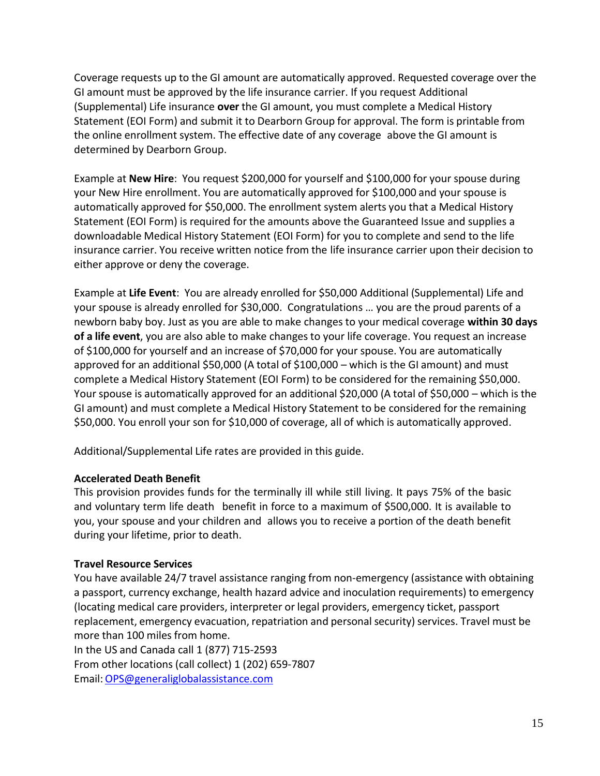Coverage requests up to the GI amount are automatically approved. Requested coverage over the GI amount must be approved by the life insurance carrier. If you request Additional (Supplemental) Life insurance **over** the GI amount, you must complete a Medical History Statement (EOI Form) and submit it to Dearborn Group for approval. The form is printable from the online enrollment system. The effective date of any coverage above the GI amount is determined by Dearborn Group.

Example at **New Hire**: You request \$200,000 for yourself and \$100,000 for your spouse during your New Hire enrollment. You are automatically approved for \$100,000 and your spouse is automatically approved for \$50,000. The enrollment system alerts you that a Medical History Statement (EOI Form) is required for the amounts above the Guaranteed Issue and supplies a downloadable Medical History Statement (EOI Form) for you to complete and send to the life insurance carrier. You receive written notice from the life insurance carrier upon their decision to either approve or deny the coverage.

Example at **Life Event**: You are already enrolled for \$50,000 Additional (Supplemental) Life and your spouse is already enrolled for \$30,000. Congratulations … you are the proud parents of a newborn baby boy. Just as you are able to make changes to your medical coverage **within 30 days of a life event**, you are also able to make changesto your life coverage. You request an increase of \$100,000 for yourself and an increase of \$70,000 for your spouse. You are automatically approved for an additional \$50,000 (A total of \$100,000 – which is the GI amount) and must complete a Medical History Statement (EOI Form) to be considered for the remaining \$50,000. Your spouse is automatically approved for an additional \$20,000 (A total of \$50,000 – which is the GI amount) and must complete a Medical History Statement to be considered for the remaining \$50,000. You enroll your son for \$10,000 of coverage, all of which is automatically approved.

Additional/Supplemental Life rates are provided in this guide.

### **Accelerated Death Benefit**

This provision provides funds for the terminally ill while still living. It pays 75% of the basic and voluntary term life death benefit in force to a maximum of \$500,000. It is available to you, your spouse and your children and allows you to receive a portion of the death benefit during your lifetime, prior to death.

### **Travel Resource Services**

You have available 24/7 travel assistance ranging from non-emergency (assistance with obtaining a passport, currency exchange, health hazard advice and inoculation requirements) to emergency (locating medical care providers, interpreter or legal providers, emergency ticket, passport replacement, emergency evacuation, repatriation and personal security) services. Travel must be more than 100 miles from home.

In the US and Canada call 1 (877) 715-2593 From other locations (call collect) 1 (202) 659-7807 Email[:OPS@generaliglobalassistance.com](mailto:OPS@generaliglobalassistance.com)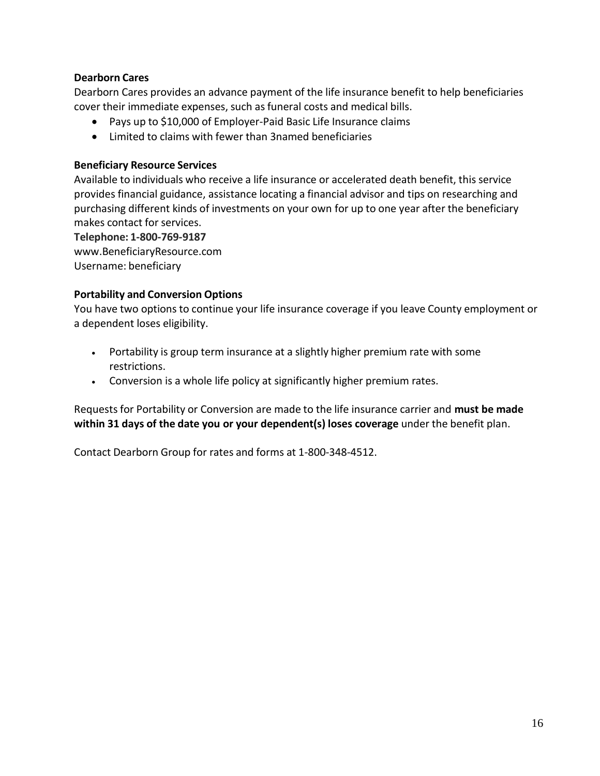### **Dearborn Cares**

Dearborn Cares provides an advance payment of the life insurance benefit to help beneficiaries cover their immediate expenses, such as funeral costs and medical bills.

- Pays up to \$10,000 of Employer-Paid Basic Life Insurance claims
- Limited to claims with fewer than 3named beneficiaries

### **Beneficiary Resource Services**

Available to individuals who receive a life insurance or accelerated death benefit, this service provides financial guidance, assistance locating a financial advisor and tips on researching and purchasing different kinds of investments on your own for up to one year after the beneficiary makes contact for services.

**Telephone: 1-800-769-9187**

www[.BeneficiaryResource.com](http://www.beneficiaryresource.com/)

Username: beneficiary

### **Portability and Conversion Options**

You have two options to continue your life insurance coverage if you leave County employment or a dependent loses eligibility.

- Portability is group term insurance at a slightly higher premium rate with some restrictions.
- Conversion is a whole life policy at significantly higher premium rates.

Requestsfor Portability or Conversion are made to the life insurance carrier and **must be made within 31 days of the date you or your dependent(s) loses coverage** under the benefit plan.

Contact Dearborn Group for rates and forms at 1-800-348-4512.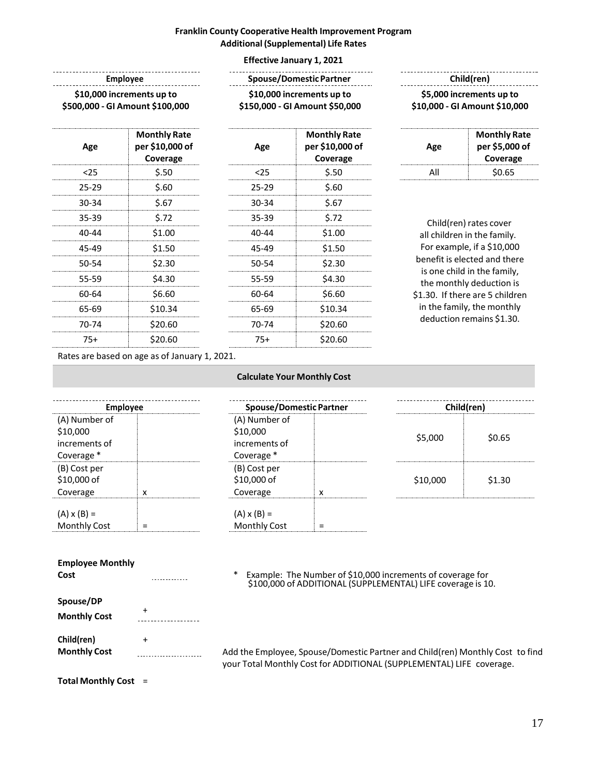### **Franklin County Cooperative Health Improvement Program Additional(Supplemental) Life Rates**

#### **Effective January 1, 2021**

|        |                                                    |         | <b>Effective January 1, 2021</b>                            |     |                                                             |  |
|--------|----------------------------------------------------|---------|-------------------------------------------------------------|-----|-------------------------------------------------------------|--|
|        | <b>Employee</b><br>\$10,000 increments up to       |         | <b>Spouse/Domestic Partner</b><br>\$10,000 increments up to |     | Child(ren)<br>\$5,000 increments up to                      |  |
|        | \$500,000 - GI Amount \$100,000                    |         | \$150,000 - GI Amount \$50,000                              |     | \$10,000 - GI Amount \$10,000                               |  |
| Age    | <b>Monthly Rate</b><br>per \$10,000 of<br>Coverage | Age     | <b>Monthly Rate</b><br>per \$10,000 of<br>Coverage          | Age | <b>Monthly Rate</b><br>per \$5,000 of<br>Coverage           |  |
| $25$   | \$.50                                              | $25$    | \$.50                                                       | All | \$0.65                                                      |  |
| 25-29  | \$.60                                              | 25-29   | \$.60                                                       |     |                                                             |  |
| 30-34  | \$.67                                              | 30-34   | \$.67                                                       |     |                                                             |  |
| 35-39  | \$.72                                              | 35-39   | \$.72                                                       |     | Child(ren) rates cover                                      |  |
| 40-44  | \$1.00                                             | 40-44   | \$1.00                                                      |     | all children in the family.                                 |  |
| 45-49  | \$1.50                                             | 45-49   | \$1.50                                                      |     | For example, if a \$10,000                                  |  |
| 50-54  | \$2.30                                             | 50-54   | \$2.30                                                      |     | benefit is elected and there<br>is one child in the family, |  |
| 55-59  | \$4.30                                             | 55-59   | \$4.30                                                      |     | the monthly deduction is                                    |  |
| 60-64  | \$6.60                                             | 60-64   | \$6.60                                                      |     | \$1.30. If there are 5 children                             |  |
| 65-69  | \$10.34                                            | 65-69   | \$10.34                                                     |     | in the family, the monthly                                  |  |
| -- - - | $\lambda$                                          | - - - - | $\lambda$                                                   |     | deduction remains \$1.30.                                   |  |

Rates are based on age as of January 1, 2021.

70-74 \$20.60 75+ \$20.60

| <b>Employee</b>     |   |  |  |  |
|---------------------|---|--|--|--|
| (A) Number of       |   |  |  |  |
| \$10,000            |   |  |  |  |
| increments of       |   |  |  |  |
| Coverage *          |   |  |  |  |
| (B) Cost per        |   |  |  |  |
| \$10,000 of         |   |  |  |  |
| Coverage            | x |  |  |  |
|                     |   |  |  |  |
| $(A) \times (B) =$  |   |  |  |  |
| <b>Monthly Cost</b> |   |  |  |  |

| <b>Calculate Your Monthly Cost</b> |  |  |
|------------------------------------|--|--|
|                                    |  |  |

70-74 \$20.60 75+ \$20.60

| <b>Employee</b> |             |                                                          | <b>Spouse/Domestic Partner</b> |          | Child(ren) |  |
|-----------------|-------------|----------------------------------------------------------|--------------------------------|----------|------------|--|
| nt              |             | (A) Number of<br>\$10,000<br>increments of<br>Coverage * |                                | \$5,000  | \$0.65     |  |
|                 | $\check{ }$ | (B) Cost per<br>\$10,000 of<br>Coverage                  |                                | \$10,000 | \$1.30     |  |
|                 |             | $(A) \times (B) =$<br><b>Monthly Cost</b>                |                                |          |            |  |

#### **Employee Monthly**

**Spouse/DP** + **Monthly Cost** . . . . . . . . . . . . . . . . **Child(ren)** + **Monthly Cost** ......................

**Cost** \* Example: The Number of \$10,000 increments of coverage for \$100,000 of ADDITIONAL (SUPPLEMENTAL) LIFE coverage is 10.

> Add the Employee, Spouse/Domestic Partner and Child(ren) Monthly Cost to find your Total Monthly Cost for ADDITIONAL (SUPPLEMENTAL) LIFE coverage.

**Total Monthly Cost** =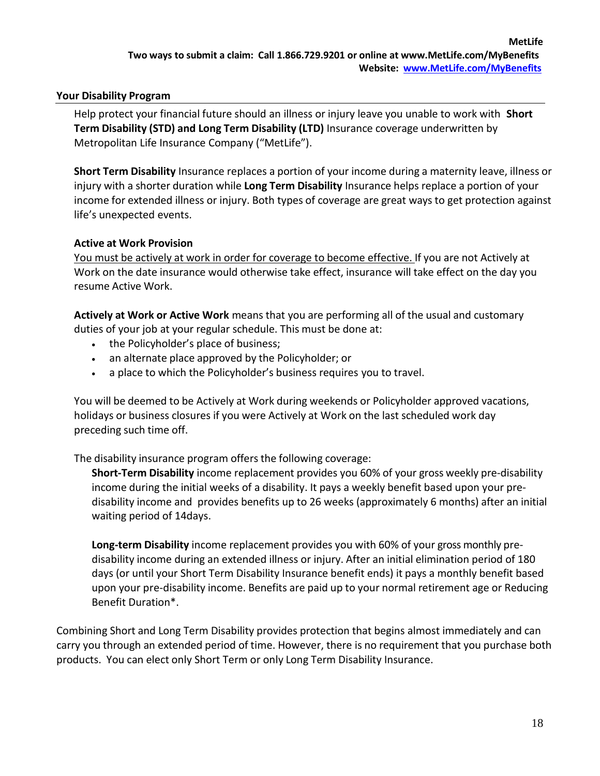### **Your Disability Program**

Help protect your financial future should an illness or injury leave you unable to work with **Short Term Disability (STD) and Long Term Disability (LTD)** Insurance coverage underwritten by Metropolitan Life Insurance Company ("MetLife").

**Short Term Disability** Insurance replaces a portion of your income during a maternity leave, illness or injury with a shorter duration while **Long Term Disability** Insurance helps replace a portion of your income for extended illness or injury. Both types of coverage are great ways to get protection against life's unexpected events.

### **Active at Work Provision**

You must be actively at work in order for coverage to become effective. If you are not Actively at Work on the date insurance would otherwise take effect, insurance will take effect on the day you resume Active Work.

**Actively at Work or Active Work** means that you are performing all of the usual and customary duties of your job at your regular schedule. This must be done at:

- the Policyholder's place of business;
- an alternate place approved by the Policyholder; or
- a place to which the Policyholder's business requires you to travel.

You will be deemed to be Actively at Work during weekends or Policyholder approved vacations, holidays or business closures if you were Actively at Work on the last scheduled work day preceding such time off.

The disability insurance program offers the following coverage:

**Short-Term Disability** income replacement provides you 60% of your gross weekly pre-disability income during the initial weeks of a disability. It pays a weekly benefit based upon your predisability income and provides benefits up to 26 weeks (approximately 6 months) after an initial waiting period of 14days.

**Long-term Disability** income replacement provides you with 60% of your gross monthly predisability income during an extended illness or injury. After an initial elimination period of 180 days (or until your Short Term Disability Insurance benefit ends) it pays a monthly benefit based upon your pre-disability income. Benefits are paid up to your normal retirement age or Reducing Benefit Duration\*.

Combining Short and Long Term Disability provides protection that begins almost immediately and can carry you through an extended period of time. However, there is no requirement that you purchase both products. You can elect only Short Term or only Long Term Disability Insurance.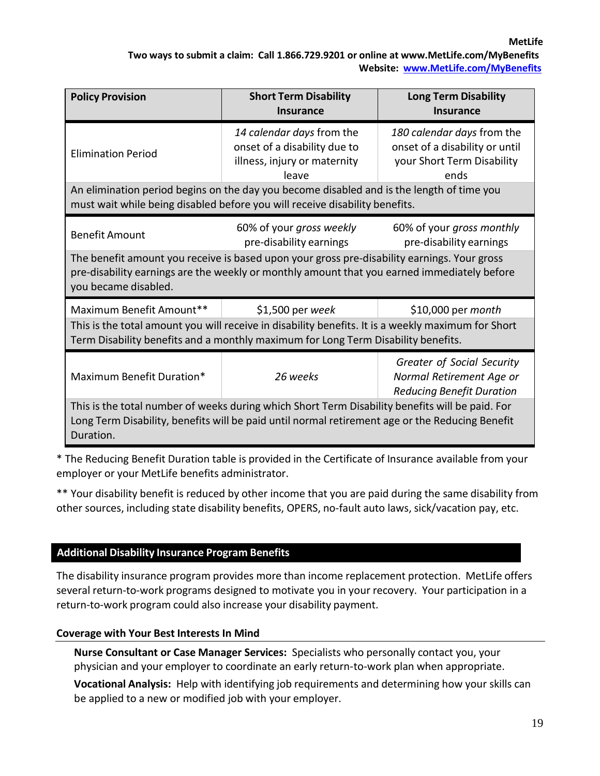**MetLife**

### **Two ways to submit a claim: Call 1.866.729.9201 or online at [www.MetLife.com/MyBenefits](http://www.metlife.com/MyBenefits) Website: [www.MetLife.com/MyBenefits](http://www.metlife.com/MyBenefits)**

| <b>Short Term Disability</b><br><b>Policy Provision</b><br><b>Insurance</b>                                                                                                                                                                                          |                                                                                                                                                                          | <b>Long Term Disability</b><br><b>Insurance</b>                                                    |  |  |
|----------------------------------------------------------------------------------------------------------------------------------------------------------------------------------------------------------------------------------------------------------------------|--------------------------------------------------------------------------------------------------------------------------------------------------------------------------|----------------------------------------------------------------------------------------------------|--|--|
| <b>Elimination Period</b>                                                                                                                                                                                                                                            | 14 calendar days from the<br>onset of a disability due to<br>illness, injury or maternity<br>leave                                                                       | 180 calendar days from the<br>onset of a disability or until<br>your Short Term Disability<br>ends |  |  |
|                                                                                                                                                                                                                                                                      | An elimination period begins on the day you become disabled and is the length of time you<br>must wait while being disabled before you will receive disability benefits. |                                                                                                    |  |  |
| 60% of your gross monthly<br>60% of your gross weekly<br><b>Benefit Amount</b><br>pre-disability earnings<br>pre-disability earnings                                                                                                                                 |                                                                                                                                                                          |                                                                                                    |  |  |
| The benefit amount you receive is based upon your gross pre-disability earnings. Your gross<br>pre-disability earnings are the weekly or monthly amount that you earned immediately before<br>you became disabled.                                                   |                                                                                                                                                                          |                                                                                                    |  |  |
| Maximum Benefit Amount**<br>\$1,500 per week<br>\$10,000 per <i>month</i><br>This is the total amount you will receive in disability benefits. It is a weekly maximum for Short<br>Term Disability benefits and a monthly maximum for Long Term Disability benefits. |                                                                                                                                                                          |                                                                                                    |  |  |
| Maximum Benefit Duration*                                                                                                                                                                                                                                            | Greater of Social Security<br>26 weeks<br>Normal Retirement Age or<br><b>Reducing Benefit Duration</b>                                                                   |                                                                                                    |  |  |
| This is the total number of weeks during which Short Term Disability benefits will be paid. For<br>Long Term Disability, benefits will be paid until normal retirement age or the Reducing Benefit<br>Duration.                                                      |                                                                                                                                                                          |                                                                                                    |  |  |

\* The Reducing Benefit Duration table is provided in the Certificate of Insurance available from your employer or your MetLife benefits administrator.

\*\* Your disability benefit is reduced by other income that you are paid during the same disability from other sources, including state disability benefits, OPERS, no-fault auto laws, sick/vacation pay, etc.

### **Additional Disability Insurance Program Benefits**

The disability insurance program provides more than income replacement protection. MetLife offers several return-to-work programs designed to motivate you in your recovery. Your participation in a return-to-work program could also increase your disability payment.

### **Coverage with Your Best Interests In Mind**

**Nurse Consultant or Case Manager Services:** Specialists who personally contact you, your physician and your employer to coordinate an early return-to-work plan when appropriate.

**Vocational Analysis:** Help with identifying job requirements and determining how your skills can be applied to a new or modified job with your employer.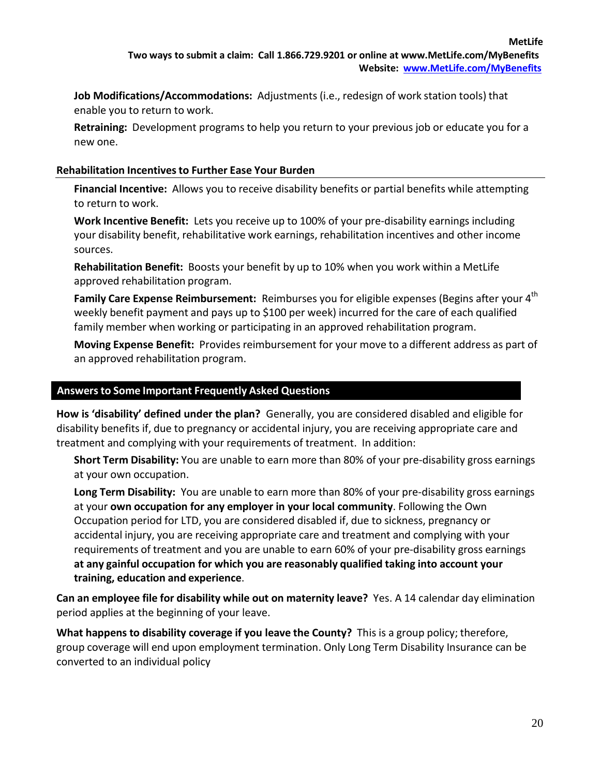**Job Modifications/Accommodations:** Adjustments (i.e., redesign of work station tools) that enable you to return to work.

**Retraining:** Development programs to help you return to your previous job or educate you for a new one.

### **Rehabilitation Incentivesto Further Ease Your Burden**

**Financial Incentive:** Allows you to receive disability benefits or partial benefits while attempting to return to work.

**Work Incentive Benefit:** Lets you receive up to 100% of your pre-disability earnings including your disability benefit, rehabilitative work earnings, rehabilitation incentives and other income sources.

**Rehabilitation Benefit:** Boosts your benefit by up to 10% when you work within a MetLife approved rehabilitation program.

**Family Care Expense Reimbursement:** Reimburses you for eligible expenses (Begins after your 4 th weekly benefit payment and pays up to \$100 per week) incurred for the care of each qualified family member when working or participating in an approved rehabilitation program.

**Moving Expense Benefit:** Provides reimbursement for your move to a different address as part of an approved rehabilitation program.

### **Answersto Some Important Frequently Asked Questions**

**How is 'disability' defined under the plan?** Generally, you are considered disabled and eligible for disability benefits if, due to pregnancy or accidental injury, you are receiving appropriate care and treatment and complying with your requirements of treatment. In addition:

**Short Term Disability:** You are unable to earn more than 80% of your pre-disability gross earnings at your own occupation.

**Long Term Disability:** You are unable to earn more than 80% of your pre-disability gross earnings at your **own occupation for any employer in your local community**. Following the Own Occupation period for LTD, you are considered disabled if, due to sickness, pregnancy or accidental injury, you are receiving appropriate care and treatment and complying with your requirements of treatment and you are unable to earn 60% of your pre-disability gross earnings **at any gainful occupation for which you are reasonably qualified taking into account your training, education and experience**.

**Can an employee file for disability while out on maternity leave?** Yes. A 14 calendar day elimination period applies at the beginning of your leave.

**What happens to disability coverage if you leave the County?** This is a group policy; therefore, group coverage will end upon employment termination. Only Long Term Disability Insurance can be converted to an individual policy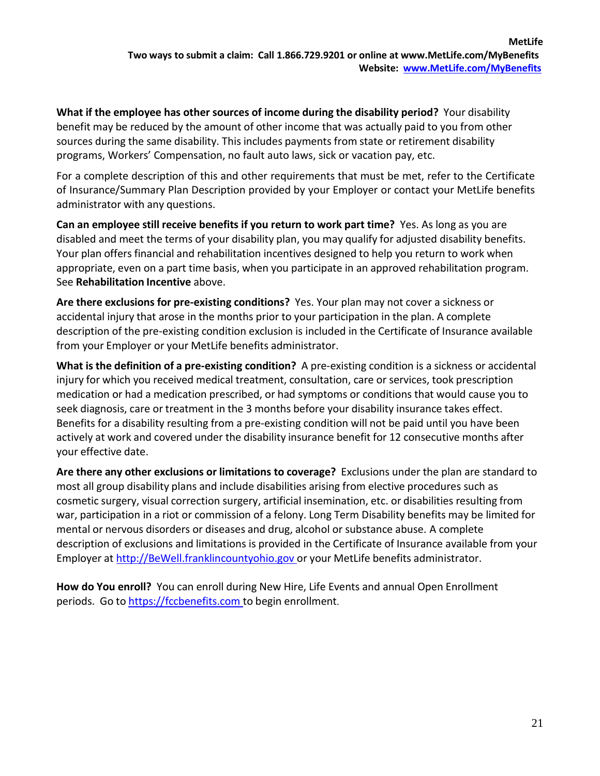**What if the employee has other sources of income during the disability period?** Your disability benefit may be reduced by the amount of other income that was actually paid to you from other sources during the same disability. This includes payments from state or retirement disability programs, Workers' Compensation, no fault auto laws, sick or vacation pay, etc.

For a complete description of this and other requirements that must be met, refer to the Certificate of Insurance/Summary Plan Description provided by your Employer or contact your MetLife benefits administrator with any questions.

**Can an employee still receive benefits if you return to work part time?** Yes. As long as you are disabled and meet the terms of your disability plan, you may qualify for adjusted disability benefits. Your plan offers financial and rehabilitation incentives designed to help you return to work when appropriate, even on a part time basis, when you participate in an approved rehabilitation program. See **Rehabilitation Incentive** above.

**Are there exclusions for pre-existing conditions?** Yes. Your plan may not cover a sickness or accidental injury that arose in the months prior to your participation in the plan. A complete description of the pre-existing condition exclusion is included in the Certificate of Insurance available from your Employer or your MetLife benefits administrator.

**What is the definition of a pre-existing condition?** A pre-existing condition is a sickness or accidental injury for which you received medical treatment, consultation, care or services, took prescription medication or had a medication prescribed, or had symptoms or conditions that would cause you to seek diagnosis, care or treatment in the 3 months before your disability insurance takes effect. Benefits for a disability resulting from a pre-existing condition will not be paid until you have been actively at work and covered under the disability insurance benefit for 12 consecutive months after your effective date.

**Are there any other exclusions or limitations to coverage?** Exclusions under the plan are standard to most all group disability plans and include disabilities arising from elective procedures such as cosmetic surgery, visual correction surgery, artificial insemination, etc. or disabilities resulting from war, participation in a riot or commission of a felony. Long Term Disability benefits may be limited for mental or nervous disorders or diseases and drug, alcohol or substance abuse. A complete description of exclusions and limitations is provided in the Certificate of Insurance available from your Employer at [http://BeWell.franklincountyohio.gov o](http://bewell.franklincountyohio.gov/)r your MetLife benefits administrator.

**How do You enroll?** You can enroll during New Hire, Life Events and annual Open Enrollment periods. Go to https://fccbenefits.com to begin enrollment.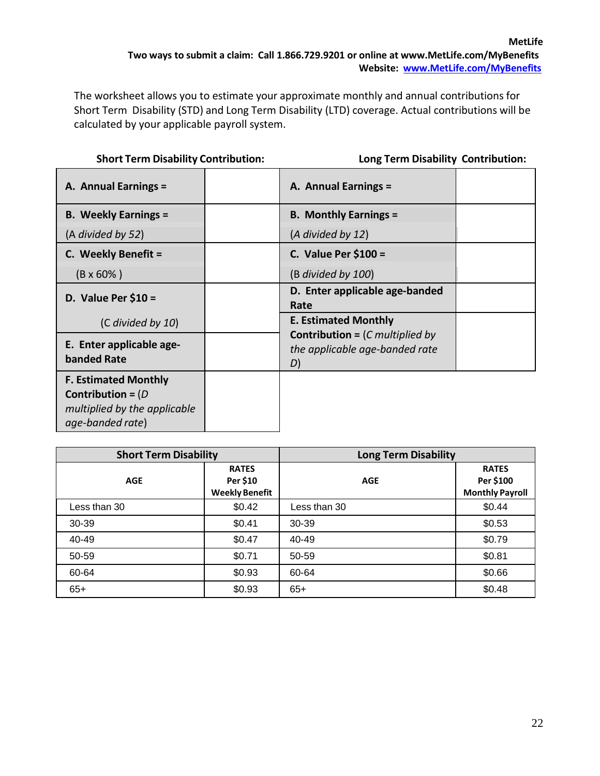The worksheet allows you to estimate your approximate monthly and annual contributions for Short Term Disability (STD) and Long Term Disability (LTD) coverage. Actual contributions will be calculated by your applicable payroll system.

| <b>Short Term Disability Contribution:</b> | <b>Long Term Disability Contribution:</b> |
|--------------------------------------------|-------------------------------------------|
|--------------------------------------------|-------------------------------------------|

|  | <b>Long Term Disability Contribution:</b> |
|--|-------------------------------------------|
|  |                                           |

| A. Annual Earnings =                                                                                    | A. Annual Earnings =                                                                      |  |
|---------------------------------------------------------------------------------------------------------|-------------------------------------------------------------------------------------------|--|
| <b>B. Weekly Earnings =</b>                                                                             | <b>B. Monthly Earnings =</b>                                                              |  |
| (A divided by 52)                                                                                       | (A divided by 12)                                                                         |  |
| C. Weekly Benefit =                                                                                     | C. Value Per $$100 =$                                                                     |  |
| $(B \times 60\%)$                                                                                       | $(B \text{ divided by } 100)$                                                             |  |
| D. Value Per $$10 =$                                                                                    | D. Enter applicable age-banded<br>Rate                                                    |  |
| (C divided by 10)                                                                                       | <b>E. Estimated Monthly</b>                                                               |  |
| E. Enter applicable age-<br><b>banded Rate</b>                                                          | <b>Contribution =</b> $(C \text{ multiplied by})$<br>the applicable age-banded rate<br>D) |  |
| <b>F. Estimated Monthly</b><br>Contribution = $(D)$<br>multiplied by the applicable<br>age-banded rate) |                                                                                           |  |

| <b>Short Term Disability</b> |                       | <b>Long Term Disability</b> |                        |
|------------------------------|-----------------------|-----------------------------|------------------------|
|                              | <b>RATES</b>          |                             | <b>RATES</b>           |
| <b>AGE</b>                   | Per \$10              | <b>AGE</b>                  | Per \$100              |
|                              | <b>Weekly Benefit</b> |                             | <b>Monthly Payroll</b> |
| Less than 30                 | \$0.42                | Less than 30                | \$0.44                 |
| 30-39                        | \$0.41                | 30-39                       | \$0.53                 |
| 40-49                        | \$0.47                | 40-49                       | \$0.79                 |
| 50-59                        | \$0.71                | 50-59                       | \$0.81                 |
| 60-64                        | \$0.93                | 60-64                       | \$0.66                 |
| $65+$                        | \$0.93                | $65+$                       | \$0.48                 |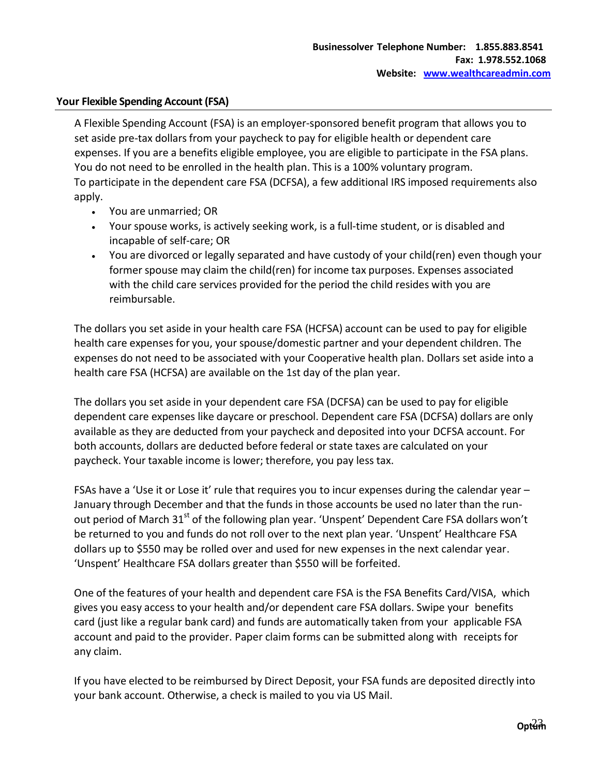### **Your Flexible Spending Account (FSA)**

A Flexible Spending Account (FSA) is an employer-sponsored benefit program that allows you to set aside pre-tax dollars from your paycheck to pay for eligible health or dependent care expenses. If you are a benefits eligible employee, you are eligible to participate in the FSA plans. You do not need to be enrolled in the health plan. This is a 100% voluntary program. To participate in the dependent care FSA (DCFSA), a few additional IRS imposed requirements also apply.

- You are unmarried; OR
- Your spouse works, is actively seeking work, is a full-time student, or is disabled and incapable of self-care; OR
- You are divorced or legally separated and have custody of your child(ren) even though your former spouse may claim the child(ren) for income tax purposes. Expenses associated with the child care services provided for the period the child resides with you are reimbursable.

The dollars you set aside in your health care FSA (HCFSA) account can be used to pay for eligible health care expenses for you, your spouse/domestic partner and your dependent children. The expenses do not need to be associated with your Cooperative health plan. Dollars set aside into a health care FSA (HCFSA) are available on the 1st day of the plan year.

The dollars you set aside in your dependent care FSA (DCFSA) can be used to pay for eligible dependent care expenses like daycare or preschool. Dependent care FSA (DCFSA) dollars are only available as they are deducted from your paycheck and deposited into your DCFSA account. For both accounts, dollars are deducted before federal or state taxes are calculated on your paycheck. Your taxable income is lower; therefore, you pay less tax.

FSAs have a 'Use it or Lose it' rule that requires you to incur expenses during the calendar year -January through December and that the funds in those accounts be used no later than the runout period of March 31<sup>st</sup> of the following plan year. 'Unspent' Dependent Care FSA dollars won't be returned to you and funds do not roll over to the next plan year. 'Unspent' Healthcare FSA dollars up to \$550 may be rolled over and used for new expenses in the next calendar year. 'Unspent' Healthcare FSA dollars greater than \$550 will be forfeited.

One of the features of your health and dependent care FSA is the FSA Benefits Card/VISA, which gives you easy access to your health and/or dependent care FSA dollars. Swipe your benefits card (just like a regular bank card) and funds are automatically taken from your applicable FSA account and paid to the provider. Paper claim forms can be submitted along with receipts for any claim.

If you have elected to be reimbursed by Direct Deposit, your FSA funds are deposited directly into your bank account. Otherwise, a check is mailed to you via US Mail.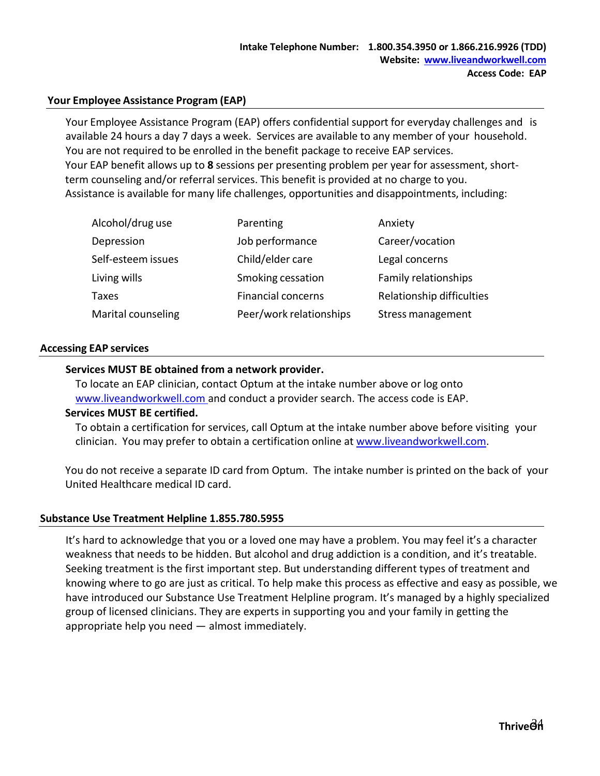### <span id="page-23-0"></span>**Your Employee Assistance Program (EAP)**

Your Employee Assistance Program (EAP) offers confidential support for everyday challenges and is available 24 hours a day 7 days a week. Services are available to any member of your household. You are not required to be enrolled in the benefit package to receive EAP services. Your EAP benefit allows up to **8** sessions per presenting problem per year for assessment, shortterm counseling and/or referral services. This benefit is provided at no charge to you. Assistance is available for many life challenges, opportunities and disappointments, including:

| Alcohol/drug use   | Parenting                 | Anxiety                   |
|--------------------|---------------------------|---------------------------|
| Depression         | Job performance           | Career/vocation           |
| Self-esteem issues | Child/elder care          | Legal concerns            |
| Living wills       | Smoking cessation         | Family relationships      |
| Taxes              | <b>Financial concerns</b> | Relationship difficulties |
| Marital counseling | Peer/work relationships   | Stress management         |

### **Accessing EAP services**

### **Services MUST BE obtained from a network provider.**

To locate an EAP clinician, contact Optum at the intake number above or log onto [www.liveandworkwell.com](http://www.liveandworkwell.com/) and conduct a provider search. The access code is EAP.

### **Services MUST BE certified.**

To obtain a certification for services, call Optum at the intake number above before visiting your clinician. You may prefer to obtain a certification online a[t www.liveandworkwell.com.](http://www.liveandworkwell.com/)

You do not receive a separate ID card from Optum. The intake number is printed on the back of your United Healthcare medical ID card.

### **Substance Use Treatment Helpline 1.855.780.5955**

It's hard to acknowledge that you or a loved one may have a problem. You may feel it's a character weakness that needs to be hidden. But alcohol and drug addiction is a condition, and it's treatable. Seeking treatment is the first important step. But understanding different types of treatment and knowing where to go are just as critical. To help make this process as effective and easy as possible, we have introduced our Substance Use Treatment Helpline program. It's managed by a highly specialized group of licensed clinicians. They are experts in supporting you and your family in getting the appropriate help you need — almost immediately.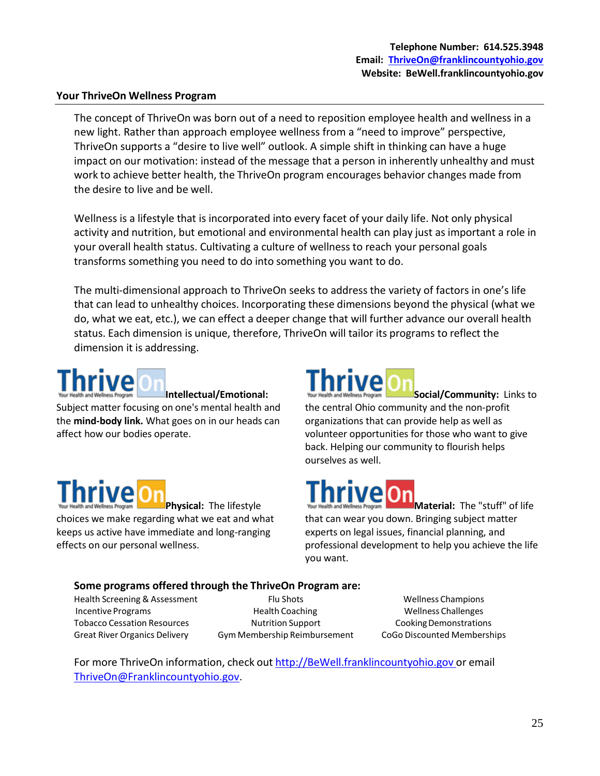### **Your ThriveOn Wellness Program**

The concept of ThriveOn was born out of a need to reposition employee health and wellness in a new light. Rather than approach employee wellness from a "need to improve" perspective, ThriveOn supports a "desire to live well" outlook. A simple shift in thinking can have a huge impact on our motivation: instead of the message that a person in inherently unhealthy and must work to achieve better health, the ThriveOn program encourages behavior changes made from the desire to live and be well.

Wellness is a lifestyle that is incorporated into every facet of your daily life. Not only physical activity and nutrition, but emotional and environmental health can play just as important a role in your overall health status. Cultivating a culture of wellness to reach your personal goals transforms something you need to do into something you want to do.

The multi-dimensional approach to ThriveOn seeks to address the variety of factors in one's life that can lead to unhealthy choices. Incorporating these dimensions beyond the physical (what we do, what we eat, etc.), we can effect a deeper change that will further advance our overall health status. Each dimension is unique, therefore, ThriveOn will tailor its programs to reflect the dimension it is addressing.

**Intellectual/Emotional:** Subject matter focusing on one's mental health and the **mind-body link.** What goes on in our heads can affect how our bodies operate.

## **Physical:** The lifestyle

choices we make regarding what we eat and what keeps us active have immediate and long-ranging effects on our personal wellness.

### **hrive**

**Social/Community:** Links to the central Ohio community and the non-profit organizations that can provide help as well as volunteer opportunities for those who want to give back. Helping our community to flourish helps ourselves as well.

### **hrived**

**Material:** The "stuff" of life that can wear you down. Bringing subject matter experts on legal issues, financial planning, and professional development to help you achieve the life you want.

### **Some programs offered through the ThriveOn Program are:**

Tobacco Cessation Resources Great River Organics Delivery

Health Screening & Assessment Flu Shots Flu Shots Wellness Champions Incentive Programs **Example 2** Health Coaching Theorem 2 Wellness Challenges Nutrition Support Gym Membership Reimbursement

Cooking Demonstrations CoGo Discounted Memberships

For more ThriveOn information, check out [http://BeWell.franklincountyohio.gov](http://bewell.franklincountyohio.gov/) or email [ThriveOn@Franklincountyohio.gov.](mailto:ThriveOn@Franklincountyohio.gov)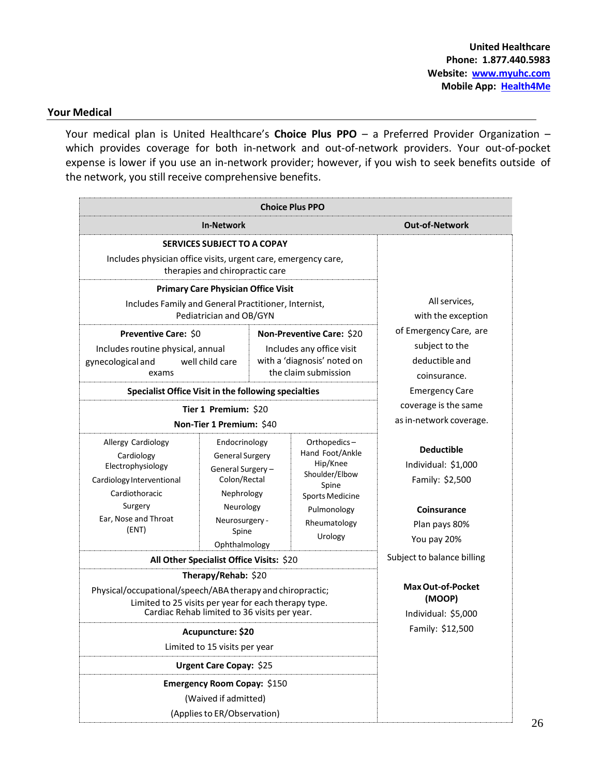### <span id="page-25-0"></span>**Your Medical**

Your medical plan is United Healthcare's **Choice Plus PPO** – a Preferred Provider Organization – which provides coverage for both in-network and out-of-network providers. Your out-of-pocket expense is lower if you use an in-network provider; however, if you wish to seek benefits outside of the network, you still receive comprehensive benefits.

|                                                                                                                                                                                                                                                                                     |                                          |                                                                                                                                                                                                                                                                                                             | <b>Choice Plus PPO</b>                                                                              |                                                                                                                   |
|-------------------------------------------------------------------------------------------------------------------------------------------------------------------------------------------------------------------------------------------------------------------------------------|------------------------------------------|-------------------------------------------------------------------------------------------------------------------------------------------------------------------------------------------------------------------------------------------------------------------------------------------------------------|-----------------------------------------------------------------------------------------------------|-------------------------------------------------------------------------------------------------------------------|
|                                                                                                                                                                                                                                                                                     | In-Network                               |                                                                                                                                                                                                                                                                                                             |                                                                                                     | <b>Out-of-Network</b>                                                                                             |
| <b>SERVICES SUBJECT TO A COPAY</b><br>Includes physician office visits, urgent care, emergency care,<br>therapies and chiropractic care<br><b>Primary Care Physician Office Visit</b>                                                                                               |                                          |                                                                                                                                                                                                                                                                                                             |                                                                                                     |                                                                                                                   |
| Includes Family and General Practitioner, Internist,                                                                                                                                                                                                                                | Pediatrician and OB/GYN                  |                                                                                                                                                                                                                                                                                                             |                                                                                                     | All services,<br>with the exception                                                                               |
| Preventive Care: \$0<br>Non-Preventive Care: \$20<br>Includes routine physical, annual<br>Includes any office visit<br>with a 'diagnosis' noted on<br>well child care<br>gynecological and<br>the claim submission<br>exams<br>Specialist Office Visit in the following specialties |                                          |                                                                                                                                                                                                                                                                                                             | of Emergency Care, are<br>subject to the<br>deductible and<br>coinsurance.<br><b>Emergency Care</b> |                                                                                                                   |
| Tier 1 Premium: \$20                                                                                                                                                                                                                                                                |                                          |                                                                                                                                                                                                                                                                                                             | coverage is the same<br>as in-network coverage.                                                     |                                                                                                                   |
| Allergy Cardiology<br>Cardiology<br>Electrophysiology<br>Cardiology Interventional<br>Cardiothoracic<br>Surgery<br>Ear, Nose and Throat<br>(ENT)                                                                                                                                    | Ophthalmology                            | Non-Tier 1 Premium: \$40<br>Orthopedics-<br>Endocrinology<br>Hand Foot/Ankle<br><b>General Surgery</b><br>Hip/Knee<br>General Surgery-<br>Shoulder/Elbow<br>Colon/Rectal<br>Spine<br>Nephrology<br><b>Sports Medicine</b><br>Neurology<br>Pulmonology<br>Neurosurgery -<br>Rheumatology<br>Spine<br>Urology |                                                                                                     | <b>Deductible</b><br>Individual: \$1,000<br>Family: \$2,500<br><b>Coinsurance</b><br>Plan pays 80%<br>You pay 20% |
|                                                                                                                                                                                                                                                                                     | All Other Specialist Office Visits: \$20 |                                                                                                                                                                                                                                                                                                             |                                                                                                     | Subject to balance billing                                                                                        |
| Therapy/Rehab: \$20<br>Physical/occupational/speech/ABA therapy and chiropractic;<br>Limited to 25 visits per year for each therapy type.<br>Cardiac Rehab limited to 36 visits per year.                                                                                           |                                          |                                                                                                                                                                                                                                                                                                             | <b>Max Out-of-Pocket</b><br>(MOOP)<br>Individual: \$5,000                                           |                                                                                                                   |
| Acupuncture: \$20<br>Limited to 15 visits per year                                                                                                                                                                                                                                  |                                          |                                                                                                                                                                                                                                                                                                             | Family: \$12,500                                                                                    |                                                                                                                   |
| <b>Urgent Care Copay: \$25</b>                                                                                                                                                                                                                                                      |                                          |                                                                                                                                                                                                                                                                                                             |                                                                                                     |                                                                                                                   |
| Emergency Room Copay: \$150<br>(Waived if admitted)<br>(Applies to ER/Observation)                                                                                                                                                                                                  |                                          |                                                                                                                                                                                                                                                                                                             |                                                                                                     |                                                                                                                   |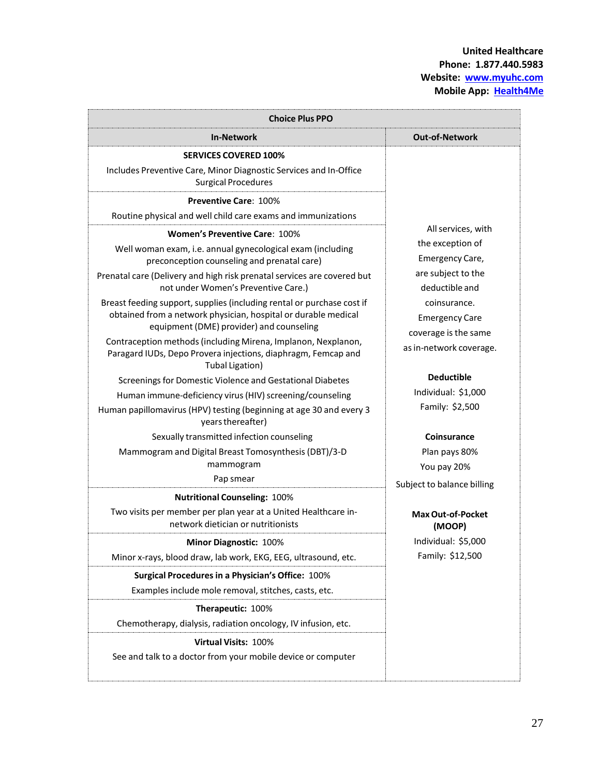| <b>Choice Plus PPO</b>                                                                                                                                                               |                                                               |  |  |
|--------------------------------------------------------------------------------------------------------------------------------------------------------------------------------------|---------------------------------------------------------------|--|--|
| <b>In-Network</b>                                                                                                                                                                    | <b>Out-of-Network</b>                                         |  |  |
| <b>SERVICES COVERED 100%</b>                                                                                                                                                         |                                                               |  |  |
| Includes Preventive Care, Minor Diagnostic Services and In-Office<br><b>Surgical Procedures</b>                                                                                      |                                                               |  |  |
| <b>Preventive Care: 100%</b>                                                                                                                                                         |                                                               |  |  |
| Routine physical and well child care exams and immunizations                                                                                                                         |                                                               |  |  |
| <b>Women's Preventive Care: 100%</b>                                                                                                                                                 | All services, with                                            |  |  |
| Well woman exam, i.e. annual gynecological exam (including<br>preconception counseling and prenatal care)                                                                            | the exception of<br>Emergency Care,                           |  |  |
| Prenatal care (Delivery and high risk prenatal services are covered but<br>not under Women's Preventive Care.)                                                                       | are subject to the<br>deductible and                          |  |  |
| Breast feeding support, supplies (including rental or purchase cost if<br>obtained from a network physician, hospital or durable medical<br>equipment (DME) provider) and counseling | coinsurance.<br><b>Emergency Care</b><br>coverage is the same |  |  |
| Contraception methods (including Mirena, Implanon, Nexplanon,<br>Paragard IUDs, Depo Provera injections, diaphragm, Femcap and<br>Tubal Ligation)                                    | as in-network coverage.                                       |  |  |
| Screenings for Domestic Violence and Gestational Diabetes                                                                                                                            | <b>Deductible</b>                                             |  |  |
| Human immune-deficiency virus (HIV) screening/counseling                                                                                                                             | Individual: \$1,000                                           |  |  |
| Human papillomavirus (HPV) testing (beginning at age 30 and every 3<br>years thereafter)                                                                                             | Family: \$2,500                                               |  |  |
| Sexually transmitted infection counseling                                                                                                                                            | <b>Coinsurance</b>                                            |  |  |
| Mammogram and Digital Breast Tomosynthesis (DBT)/3-D                                                                                                                                 | Plan pays 80%                                                 |  |  |
| mammogram                                                                                                                                                                            | You pay 20%                                                   |  |  |
| Pap smear                                                                                                                                                                            | Subject to balance billing                                    |  |  |
| <b>Nutritional Counseling: 100%</b>                                                                                                                                                  |                                                               |  |  |
| Two visits per member per plan year at a United Healthcare in-<br>network dietician or nutritionists                                                                                 | <b>Max Out-of-Pocket</b><br>(MOOP)                            |  |  |
| Minor Diagnostic: 100%                                                                                                                                                               | Individual: \$5,000                                           |  |  |
| Minor x-rays, blood draw, lab work, EKG, EEG, ultrasound, etc.                                                                                                                       | Family: \$12,500                                              |  |  |
| Surgical Procedures in a Physician's Office: 100%                                                                                                                                    |                                                               |  |  |
| Examples include mole removal, stitches, casts, etc.                                                                                                                                 |                                                               |  |  |
| Therapeutic: 100%                                                                                                                                                                    |                                                               |  |  |
| Chemotherapy, dialysis, radiation oncology, IV infusion, etc.                                                                                                                        |                                                               |  |  |
| <b>Virtual Visits: 100%</b><br>See and talk to a doctor from your mobile device or computer                                                                                          |                                                               |  |  |
|                                                                                                                                                                                      |                                                               |  |  |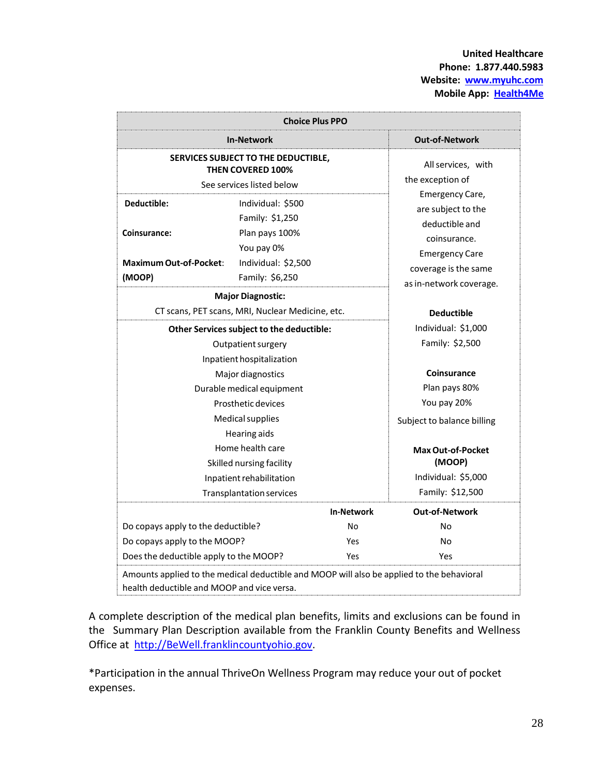**United Healthcare Phone: 1.877.440.5983 Website: [www.myuhc.com](http://www.myuhc.com/) Mobile App: Health4Me**

| <b>Choice Plus PPO</b>                                                                                                                                                                                               |                                                                                              |                                                                                                                                                     |                                           |  |
|----------------------------------------------------------------------------------------------------------------------------------------------------------------------------------------------------------------------|----------------------------------------------------------------------------------------------|-----------------------------------------------------------------------------------------------------------------------------------------------------|-------------------------------------------|--|
|                                                                                                                                                                                                                      | <b>In-Network</b>                                                                            |                                                                                                                                                     | <b>Out-of-Network</b>                     |  |
|                                                                                                                                                                                                                      | SERVICES SUBJECT TO THE DEDUCTIBLE,<br><b>THEN COVERED 100%</b><br>See services listed below |                                                                                                                                                     | All services, with<br>the exception of    |  |
| Deductible:<br>Individual: \$500<br>Family: \$1,250<br>Plan pays 100%<br>Coinsurance:<br>You pay 0%<br><b>Maximum Out-of-Pocket:</b><br>Individual: \$2,500<br>(MOOP)<br>Family: \$6,250<br><b>Major Diagnostic:</b> |                                                                                              | Emergency Care,<br>are subject to the<br>deductible and<br>coinsurance.<br><b>Emergency Care</b><br>coverage is the same<br>as in-network coverage. |                                           |  |
|                                                                                                                                                                                                                      | CT scans, PET scans, MRI, Nuclear Medicine, etc.                                             |                                                                                                                                                     | <b>Deductible</b>                         |  |
| Other Services subject to the deductible:<br>Outpatient surgery                                                                                                                                                      |                                                                                              | Individual: \$1,000<br>Family: \$2,500                                                                                                              |                                           |  |
|                                                                                                                                                                                                                      | Inpatient hospitalization<br>Major diagnostics<br>Durable medical equipment                  |                                                                                                                                                     | Coinsurance<br>Plan pays 80%              |  |
|                                                                                                                                                                                                                      | Prosthetic devices<br>Medical supplies                                                       |                                                                                                                                                     | You pay 20%<br>Subject to balance billing |  |
|                                                                                                                                                                                                                      | Hearing aids<br>Home health care<br>Skilled nursing facility                                 |                                                                                                                                                     | Max Out-of-Pocket<br>(MOOP)               |  |
|                                                                                                                                                                                                                      | Inpatient rehabilitation<br><b>Transplantation services</b>                                  |                                                                                                                                                     | Individual: \$5,000<br>Family: \$12,500   |  |
|                                                                                                                                                                                                                      |                                                                                              | <b>In-Network</b>                                                                                                                                   | <b>Out-of-Network</b>                     |  |
| Do copays apply to the deductible?<br>Do copays apply to the MOOP?<br>Does the deductible apply to the MOOP?                                                                                                         |                                                                                              | No<br>Yes<br>Yes                                                                                                                                    | No<br>No<br>Yes                           |  |
| Amounts applied to the medical deductible and MOOP will also be applied to the behavioral<br>health deductible and MOOP and vice versa.                                                                              |                                                                                              |                                                                                                                                                     |                                           |  |

A complete description of the medical plan benefits, limits and exclusions can be found in the Summary Plan Description available from the Franklin County Benefits and Wellness Office at [http://BeWell.franklincountyohio.gov.](http://bewell.franklincountyohio.gov/)

\*Participation in the annual ThriveOn Wellness Program may reduce your out of pocket expenses.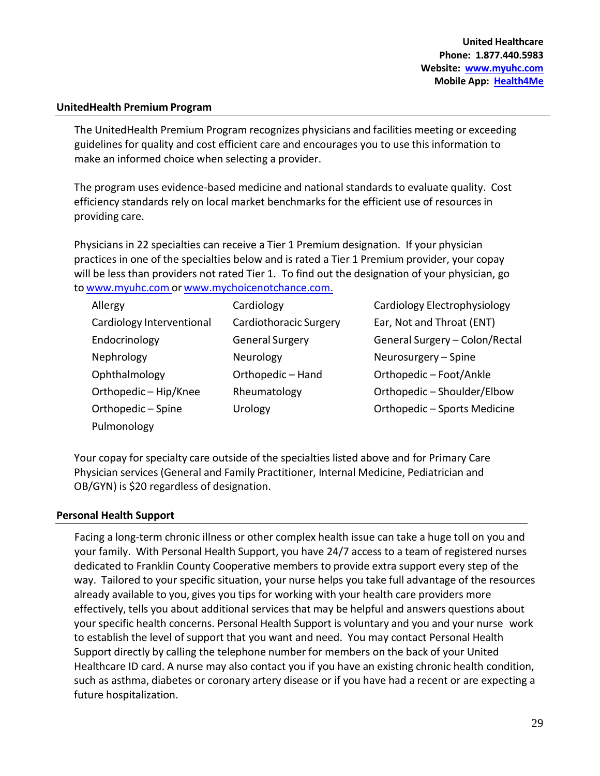### **UnitedHealth Premium Program**

The UnitedHealth Premium Program recognizes physicians and facilities meeting or exceeding guidelines for quality and cost efficient care and encourages you to use this information to make an informed choice when selecting a provider.

The program uses evidence-based medicine and national standards to evaluate quality. Cost efficiency standards rely on local market benchmarks for the efficient use of resources in providing care.

Physicians in 22 specialties can receive a Tier 1 Premium designation. If your physician practices in one of the specialties below and is rated a Tier 1 Premium provider, your copay will be less than providers not rated Tier 1. To find out the designation of your physician, go to [www.myuhc.com](http://www.myuhc.com/) or [www.mychoicenotchance.com.](http://www.mychoicenotchance.com/)

| Allergy                   | Cardiology             | Cardiology Electrophysiology   |
|---------------------------|------------------------|--------------------------------|
| Cardiology Interventional | Cardiothoracic Surgery | Ear, Not and Throat (ENT)      |
| Endocrinology             | <b>General Surgery</b> | General Surgery - Colon/Rectal |
| Nephrology                | Neurology              | Neurosurgery - Spine           |
| Ophthalmology             | Orthopedic - Hand      | Orthopedic - Foot/Ankle        |
| Orthopedic - Hip/Knee     | Rheumatology           | Orthopedic - Shoulder/Elbow    |
| Orthopedic - Spine        | Urology                | Orthopedic - Sports Medicine   |
| Pulmonology               |                        |                                |

Your copay for specialty care outside of the specialties listed above and for Primary Care Physician services (General and Family Practitioner, Internal Medicine, Pediatrician and OB/GYN) is \$20 regardless of designation.

### **Personal Health Support**

Facing a long-term chronic illness or other complex health issue can take a huge toll on you and your family. With Personal Health Support, you have 24/7 access to a team of registered nurses dedicated to Franklin County Cooperative members to provide extra support every step of the way. Tailored to your specific situation, your nurse helps you take full advantage of the resources already available to you, gives you tips for working with your health care providers more effectively, tells you about additional services that may be helpful and answers questions about your specific health concerns. Personal Health Support is voluntary and you and your nurse work to establish the level of support that you want and need. You may contact Personal Health Support directly by calling the telephone number for members on the back of your United Healthcare ID card. A nurse may also contact you if you have an existing chronic health condition, such as asthma, diabetes or coronary artery disease or if you have had a recent or are expecting a future hospitalization.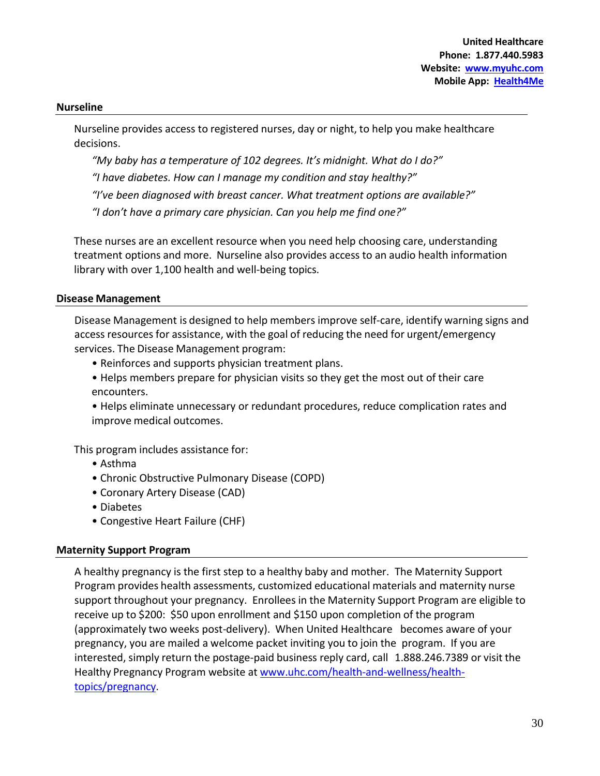### **Nurseline**

Nurseline provides access to registered nurses, day or night, to help you make healthcare decisions.

*"My baby has a temperature of 102 degrees. It's midnight. What do I do?"*

*"I have diabetes. How can I manage my condition and stay healthy?"*

*"I've been diagnosed with breast cancer. What treatment options are available?"*

*"I don't have a primary care physician. Can you help me find one?"*

These nurses are an excellent resource when you need help choosing care, understanding treatment options and more. Nurseline also provides access to an audio health information library with over 1,100 health and well-being topics.

### **Disease Management**

Disease Management is designed to help members improve self-care, identify warning signs and access resources for assistance, with the goal of reducing the need for urgent/emergency services. The Disease Management program:

- Reinforces and supports physician treatment plans.
- Helps members prepare for physician visits so they get the most out of their care encounters.

• Helps eliminate unnecessary or redundant procedures, reduce complication rates and improve medical outcomes.

This program includes assistance for:

- Asthma
- Chronic Obstructive Pulmonary Disease (COPD)
- Coronary Artery Disease (CAD)
- Diabetes
- Congestive Heart Failure (CHF)

### **Maternity Support Program**

A healthy pregnancy is the first step to a healthy baby and mother. The Maternity Support Program provides health assessments, customized educational materials and maternity nurse support throughout your pregnancy. Enrollees in the Maternity Support Program are eligible to receive up to \$200: \$50 upon enrollment and \$150 upon completion of the program (approximately two weeks post-delivery). When United Healthcare becomes aware of your pregnancy, you are mailed a welcome packet inviting you to join the program. If you are interested, simply return the postage-paid business reply card, call 1.888.246.7389 or visit the Healthy Pregnancy Program website at [www.uhc.com/health-and-wellness/health](http://www.uhc.com/health-and-wellness/health-topics/pregnancy)[topics/pregnancy.](http://www.uhc.com/health-and-wellness/health-topics/pregnancy)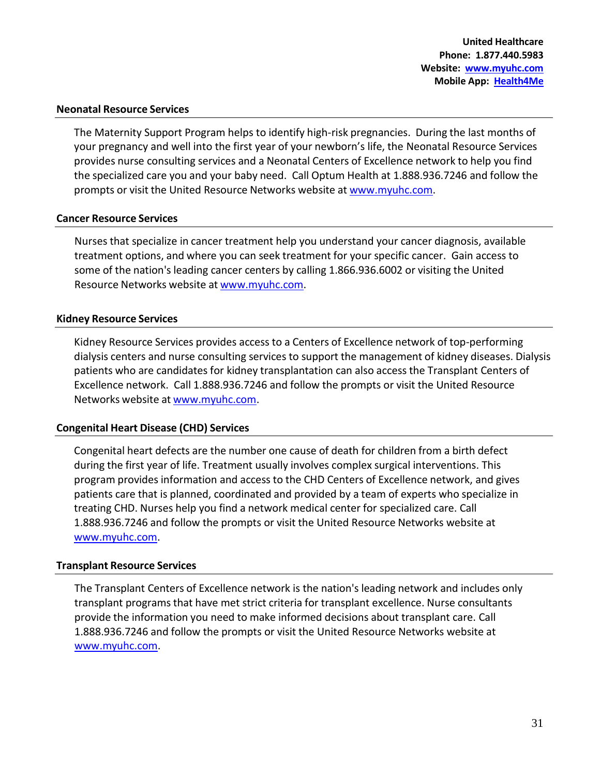### **Neonatal Resource Services**

The Maternity Support Program helps to identify high-risk pregnancies. During the last months of your pregnancy and well into the first year of your newborn's life, the Neonatal Resource Services provides nurse consulting services and a Neonatal Centers of Excellence network to help you find the specialized care you and your baby need. Call Optum Health at 1.888.936.7246 and follow the prompts or visit the United Resource Networks website at [www.myuhc.com.](http://www.myuhc.com/)

### **Cancer Resource Services**

Nurses that specialize in cancer treatment help you understand your cancer diagnosis, available treatment options, and where you can seek treatment for your specific cancer. Gain access to some of the nation's leading cancer centers by calling 1.866.936.6002 or visiting the United Resource Networks website at [www.myuhc.com.](http://www.myuhc.com/)

### **Kidney Resource Services**

Kidney Resource Services provides access to a Centers of Excellence network of top-performing dialysis centers and nurse consulting services to support the management of kidney diseases. Dialysis patients who are candidates for kidney transplantation can also access the Transplant Centers of Excellence network. Call 1.888.936.7246 and follow the prompts or visit the United Resource Networks website at [www.myuhc.com.](http://www.myuhc.com/)

### **Congenital Heart Disease (CHD) Services**

Congenital heart defects are the number one cause of death for children from a birth defect during the first year of life. Treatment usually involves complex surgical interventions. This program provides information and access to the CHD Centers of Excellence network, and gives patients care that is planned, coordinated and provided by a team of experts who specialize in treating CHD. Nurses help you find a network medical center for specialized care. Call 1.888.936.7246 and follow the prompts or visit the United Resource Networks website at [www.myuhc.com.](http://www.myuhc.com/)

### **Transplant Resource Services**

The Transplant Centers of Excellence network is the nation's leading network and includes only transplant programs that have met strict criteria for transplant excellence. Nurse consultants provide the information you need to make informed decisions about transplant care. Call 1.888.936.7246 and follow the prompts or visit the United Resource Networks website at [www.myuhc.com.](http://www.myuhc.com/)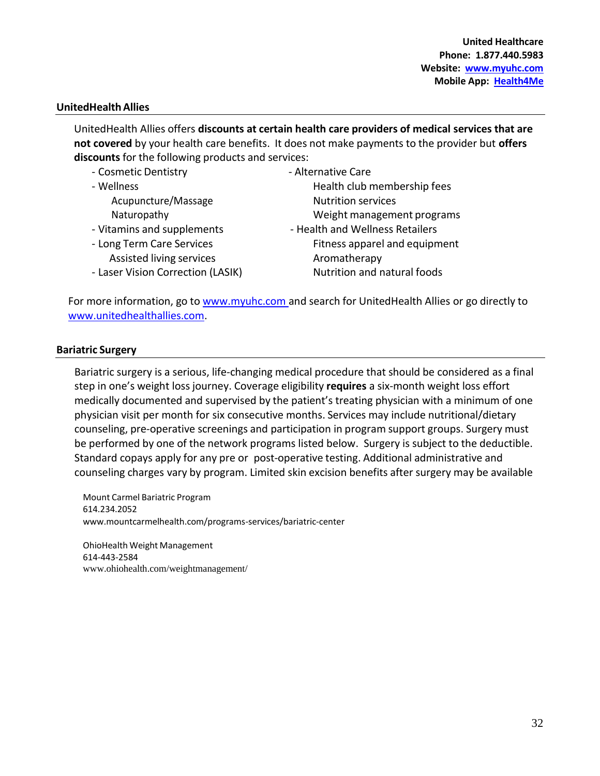### **UnitedHealthAllies**

UnitedHealth Allies offers **discounts at certain health care providers of medical services that are not covered** by your health care benefits. It does not make payments to the provider but **offers discounts** for the following products and services:

| - Cosmetic Dentistry              | - Alternative Care              |
|-----------------------------------|---------------------------------|
| - Wellness                        | Health club membership fees     |
| Acupuncture/Massage               | <b>Nutrition services</b>       |
| Naturopathy                       | Weight management programs      |
| - Vitamins and supplements        | - Health and Wellness Retailers |
| - Long Term Care Services         | Fitness apparel and equipment   |
| Assisted living services          | Aromatherapy                    |
| - Laser Vision Correction (LASIK) | Nutrition and natural foods     |

For more information, go to [www.myuhc.com](http://www.myuhc.com/)and search for UnitedHealth Allies or go directly to [www.unitedhealthallies.com.](http://www.unitedhealthallies.com/)

### **Bariatric Surgery**

Bariatric surgery is a serious, life-changing medical procedure that should be considered as a final step in one's weight lossjourney. Coverage eligibility **requires** a six-month weight loss effort medically documented and supervised by the patient's treating physician with a minimum of one physician visit per month for six consecutive months. Services may include nutritional/dietary counseling, pre-operative screenings and participation in program support groups. Surgery must be performed by one of the network programs listed below. Surgery is subject to the deductible. Standard copays apply for any pre or post-operative testing. Additional administrative and counseling charges vary by program. Limited skin excision benefits after surgery may be available

Mount Carmel Bariatric Program 614.234.2052 [www.mountcarmelhealth.com/programs-services/bariatric-center](http://www.mountcarmelhealth.com/programs-services/bariatric-center)

OhioHealth Weight Management 614-443-2584 [www.ohiohealth.com/weightmanagement/](http://www.ohiohealth.com/weightmanagement/)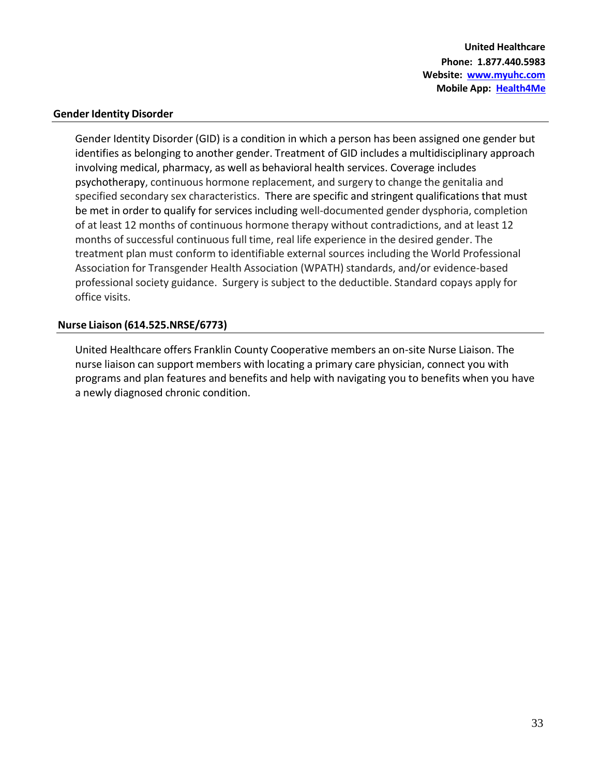**United Healthcare Phone: 1.877.440.5983 Website: [www.myuhc.com](http://www.myuhc.com/) Mobile App: Health4Me**

### **Gender Identity Disorder**

Gender Identity Disorder (GID) is a condition in which a person has been assigned one gender but identifies as belonging to another gender. Treatment of GID includes a multidisciplinary approach involving medical, pharmacy, as well as behavioral health services. Coverage includes psychotherapy, continuous hormone replacement, and surgery to change the genitalia and specified secondary sex characteristics. There are specific and stringent qualifications that must be met in order to qualify for services including well-documented gender dysphoria, completion of at least 12 months of continuous hormone therapy without contradictions, and at least 12 months of successful continuous full time, real life experience in the desired gender. The treatment plan must conform to identifiable external sources including the World Professional Association for Transgender Health Association (WPATH) standards, and/or evidence-based professional society guidance. Surgery is subject to the deductible. Standard copays apply for office visits.

### **Nurse Liaison (614.525.NRSE/6773)**

United Healthcare offers Franklin County Cooperative members an on-site Nurse Liaison. The nurse liaison can support members with locating a primary care physician, connect you with programs and plan features and benefits and help with navigating you to benefits when you have a newly diagnosed chronic condition.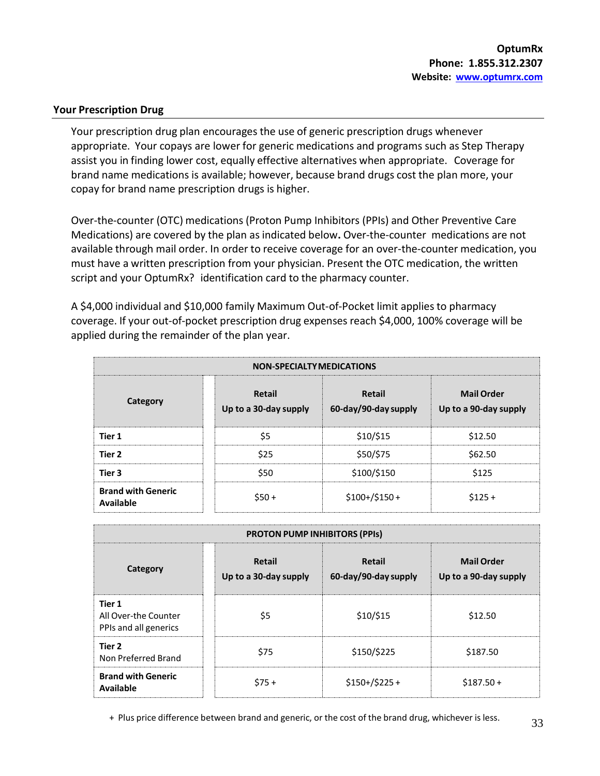### **Your Prescription Drug**

Your prescription drug plan encourages the use of generic prescription drugs whenever appropriate. Your copays are lower for generic medications and programs such as Step Therapy assist you in finding lower cost, equally effective alternatives when appropriate. Coverage for brand name medications is available; however, because brand drugs cost the plan more, your copay for brand name prescription drugs is higher.

Over-the-counter (OTC) medications (Proton Pump Inhibitors (PPIs) and Other Preventive Care Medications) are covered by the plan as indicated below**.** Over-the-counter medications are not available through mail order. In order to receive coverage for an over-the-counter medication, you must have a written prescription from your physician. Present the OTC medication, the written script and your OptumRx? identification card to the pharmacy counter.

A \$4,000 individual and \$10,000 family Maximum Out-of-Pocket limit applies to pharmacy coverage. If your out-of-pocket prescription drug expenses reach \$4,000, 100% coverage will be applied during the remainder of the plan year.

| <b>NON-SPECIALTY MEDICATIONS</b>       |                                 |                                |                                            |  |
|----------------------------------------|---------------------------------|--------------------------------|--------------------------------------------|--|
| Category                               | Retail<br>Up to a 30-day supply | Retail<br>60-day/90-day supply | <b>Mail Order</b><br>Up to a 90-day supply |  |
| Tier 1                                 | \$5                             | \$10/\$15                      | \$12.50                                    |  |
| Tier 2                                 | \$25                            | \$50/\$75                      | \$62.50                                    |  |
| Tier 3                                 | \$50                            | \$100/\$150                    | \$125                                      |  |
| <b>Brand with Generic</b><br>Available | $$50+$                          | $$100+/$150+$                  | $$125+$                                    |  |

| <b>PROTON PUMP INHIBITORS (PPIs)</b>                    |                                 |                                |                                            |  |  |
|---------------------------------------------------------|---------------------------------|--------------------------------|--------------------------------------------|--|--|
| Category                                                | Retail<br>Up to a 30-day supply | Retail<br>60-day/90-day supply | <b>Mail Order</b><br>Up to a 90-day supply |  |  |
| Tier 1<br>All Over-the Counter<br>PPIs and all generics | \$5                             | $$10/$ \$15                    | \$12.50                                    |  |  |
| Tier 2<br>Non Preferred Brand                           | \$75                            | \$150/\$225                    | \$187.50                                   |  |  |
| <b>Brand with Generic</b><br>Available                  | $$75+$                          | $$150+/$225+$                  | $$187.50+$                                 |  |  |

+ Plus price difference between brand and generic, or the cost of the brand drug, whichever is less.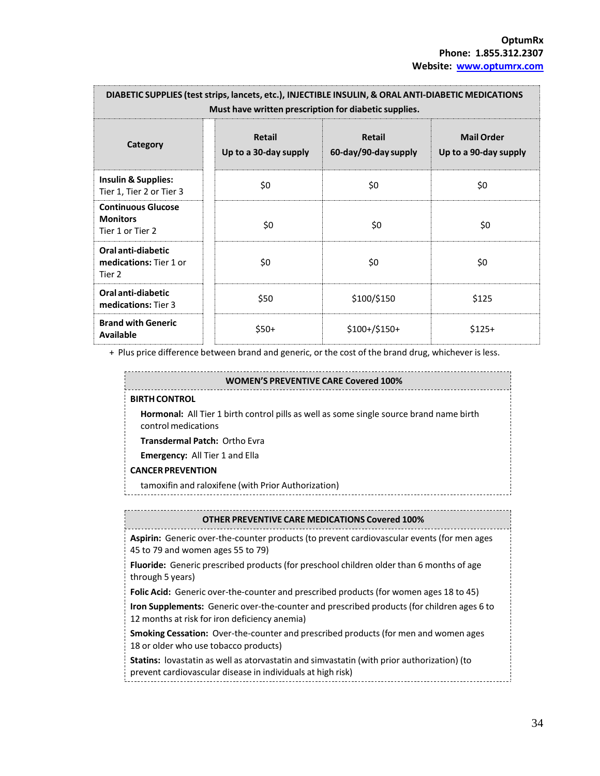| DIABETIC SUPPLIES (test strips, lancets, etc.), INJECTIBLE INSULIN, & ORAL ANTI-DIABETIC MEDICATIONS<br>Must have written prescription for diabetic supplies. |                                        |                                |                                            |
|---------------------------------------------------------------------------------------------------------------------------------------------------------------|----------------------------------------|--------------------------------|--------------------------------------------|
| Category                                                                                                                                                      | <b>Retail</b><br>Up to a 30-day supply | Retail<br>60-day/90-day supply | <b>Mail Order</b><br>Up to a 90-day supply |
| <b>Insulin &amp; Supplies:</b><br>Tier 1, Tier 2 or Tier 3                                                                                                    | \$0                                    | \$0                            | \$0                                        |
| <b>Continuous Glucose</b><br><b>Monitors</b><br>Tier 1 or Tier 2                                                                                              | \$0                                    | \$0                            | \$0                                        |
| Oral anti-diabetic<br>medications: Tier 1 or<br>Tier 2                                                                                                        | \$0                                    | \$0                            | \$0                                        |
| Oral anti-diabetic<br>medications: Tier 3                                                                                                                     | \$50                                   | \$100/\$150                    | \$125                                      |
| <b>Brand with Generic</b><br><b>Available</b>                                                                                                                 | $$50+$                                 | $$100+/$150+$                  | $$125+$                                    |

+ Plus price difference between brand and generic, or the cost of the brand drug, whichever is less.

| <b>WOMEN'S PREVENTIVE CARE Covered 100%</b>                                                                                            |  |  |
|----------------------------------------------------------------------------------------------------------------------------------------|--|--|
| <b>BIRTH CONTROL</b>                                                                                                                   |  |  |
| <b>Hormonal:</b> All Tier 1 birth control pills as well as some single source brand name birth<br>control medications                  |  |  |
| <b>Transdermal Patch: Ortho Evra</b>                                                                                                   |  |  |
| <b>Emergency:</b> All Tier 1 and Ella                                                                                                  |  |  |
| <b>CANCER PREVENTION</b>                                                                                                               |  |  |
| tamoxifin and raloxifene (with Prior Authorization)                                                                                    |  |  |
|                                                                                                                                        |  |  |
| <b>OTHER PREVENTIVE CARE MEDICATIONS Covered 100%</b>                                                                                  |  |  |
| <b>Aspirin:</b> Generic over-the-counter products (to prevent cardiovascular events (for men ages<br>45 to 79 and women ages 55 to 79) |  |  |
| <b>Fluoride:</b> Generic prescribed products (for preschool children older than 6 months of age<br>through 5 years)                    |  |  |
| <b>Folic Acid:</b> Generic over-the-counter and prescribed products (for women ages 18 to 45)                                          |  |  |

**Iron Supplements:** Generic over-the-counter and prescribed products (for children ages 6 to 12 months at risk for iron deficiency anemia)

**Smoking Cessation:** Over-the-counter and prescribed products (for men and women ages 18 or older who use tobacco products)

**Statins:** lovastatin as well as atorvastatin and simvastatin (with prior authorization) (to prevent cardiovascular disease in individuals at high risk)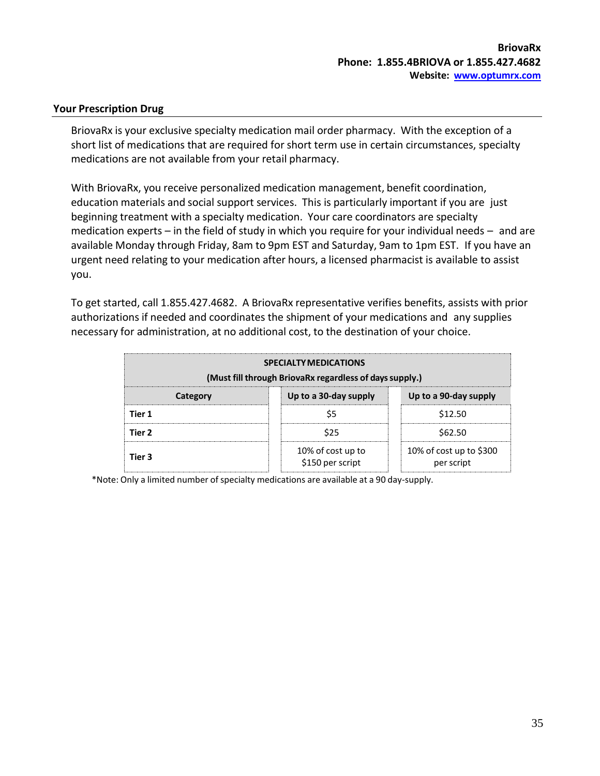### **Your Prescription Drug**

BriovaRx is your exclusive specialty medication mail order pharmacy. With the exception of a short list of medications that are required for short term use in certain circumstances, specialty medications are not available from your retail pharmacy.

With BriovaRx, you receive personalized medication management, benefit coordination, education materials and social support services. This is particularly important if you are just beginning treatment with a specialty medication. Your care coordinators are specialty medication experts – in the field of study in which you require for your individual needs – and are available Monday through Friday, 8am to 9pm EST and Saturday, 9am to 1pm EST. If you have an urgent need relating to your medication after hours, a licensed pharmacist is available to assist you.

To get started, call 1.855.427.4682. A BriovaRx representative verifies benefits, assists with prior authorizations if needed and coordinates the shipment of your medications and any supplies necessary for administration, at no additional cost, to the destination of your choice.

| <b>SPECIALTY MEDICATIONS</b><br>(Must fill through BriovaRx regardless of days supply.) |                                       |                                       |  |
|-----------------------------------------------------------------------------------------|---------------------------------------|---------------------------------------|--|
| Up to a 30-day supply<br>Up to a 90-day supply<br>Category                              |                                       |                                       |  |
| Tier 1                                                                                  |                                       | \$12.50                               |  |
| Tier 2                                                                                  | \$62.50<br>\$25                       |                                       |  |
| Tier 3                                                                                  | 10% of cost up to<br>\$150 per script | 10% of cost up to \$300<br>per script |  |

\*Note: Only a limited number ofspecialty medications are available at a 90 day-supply.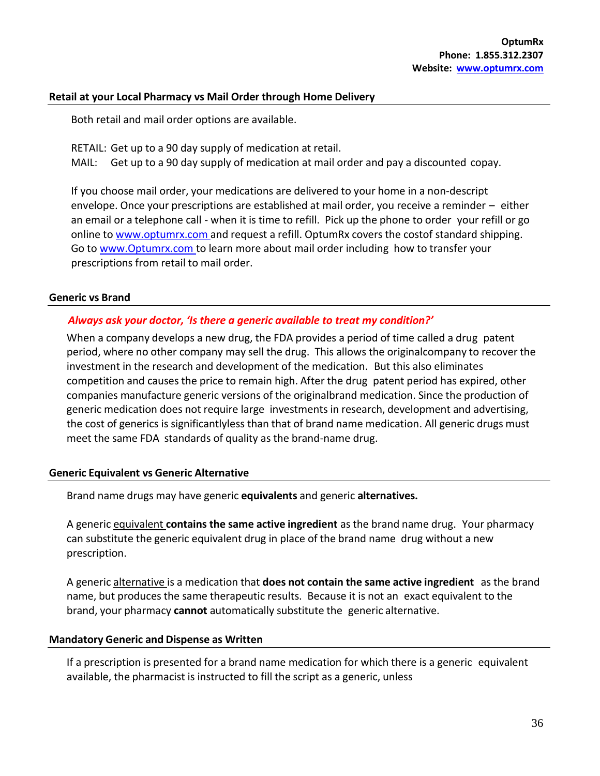### **Retail at your Local Pharmacy vs Mail Order through Home Delivery**

Both retail and mail order options are available.

RETAIL: Get up to a 90 day supply of medication at retail. MAIL: Get up to a 90 day supply of medication at mail order and pay a discounted copay.

If you choose mail order, your medications are delivered to your home in a non-descript envelope. Once your prescriptions are established at mail order, you receive a reminder – either an email or a telephone call - when it is time to refill. Pick up the phone to order your refill or go online to [www.optumrx.com a](http://www.optumrx.com/)nd request a refill. OptumRx covers the costof standard shipping. Go to [www.Optumrx.com](http://www.optumrx.com/) to learn more about mail order including how to transfer your prescriptions from retail to mail order.

### **Generic vs Brand**

### *Always ask your doctor, 'Is there a generic available to treat my condition?'*

When a company develops a new drug, the FDA provides a period of time called a drug patent period, where no other company may sell the drug. This allows the originalcompany to recover the investment in the research and development of the medication. But this also eliminates competition and causes the price to remain high. After the drug patent period has expired, other companies manufacture generic versions of the originalbrand medication. Since the production of generic medication does not require large investments in research, development and advertising, the cost of generics is significantlyless than that of brand name medication. All generic drugs must meet the same FDA standards of quality as the brand-name drug.

### **Generic Equivalent vs Generic Alternative**

Brand name drugs may have generic **equivalents** and generic **alternatives.**

A generic equivalent **contains the same active ingredient** as the brand name drug. Your pharmacy can substitute the generic equivalent drug in place of the brand name drug without a new prescription.

A generic alternative is a medication that **does not contain the same active ingredient** as the brand name, but produces the same therapeutic results. Because it is not an exact equivalent to the brand, your pharmacy **cannot** automatically substitute the generic alternative.

### **Mandatory Generic and Dispense as Written**

If a prescription is presented for a brand name medication for which there is a generic equivalent available, the pharmacist is instructed to fill the script as a generic, unless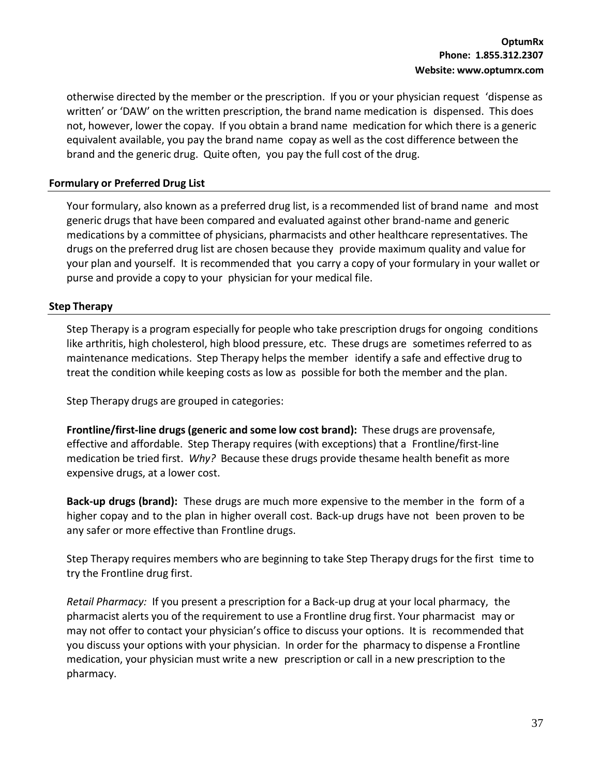otherwise directed by the member or the prescription. If you or your physician request 'dispense as written' or 'DAW' on the written prescription, the brand name medication is dispensed. This does not, however, lower the copay. If you obtain a brand name medication for which there is a generic equivalent available, you pay the brand name copay as well as the cost difference between the brand and the generic drug. Quite often, you pay the full cost of the drug.

### **Formulary or Preferred Drug List**

Your formulary, also known as a preferred drug list, is a recommended list of brand name and most generic drugs that have been compared and evaluated against other brand-name and generic medications by a committee of physicians, pharmacists and other healthcare representatives. The drugs on the preferred drug list are chosen because they provide maximum quality and value for your plan and yourself. It is recommended that you carry a copy of your formulary in your wallet or purse and provide a copy to your physician for your medical file.

### **Step Therapy**

Step Therapy is a program especially for people who take prescription drugs for ongoing conditions like arthritis, high cholesterol, high blood pressure, etc. These drugs are sometimes referred to as maintenance medications. Step Therapy helps the member identify a safe and effective drug to treat the condition while keeping costs as low as possible for both the member and the plan.

Step Therapy drugs are grouped in categories:

**Frontline/first-line drugs (generic and some low cost brand):** These drugs are provensafe, effective and affordable. Step Therapy requires (with exceptions) that a Frontline/first-line medication be tried first. *Why?* Because these drugs provide thesame health benefit as more expensive drugs, at a lower cost.

**Back-up drugs (brand):** These drugs are much more expensive to the member in the form of a higher copay and to the plan in higher overall cost. Back-up drugs have not been proven to be any safer or more effective than Frontline drugs.

Step Therapy requires members who are beginning to take Step Therapy drugs for the first time to try the Frontline drug first.

*Retail Pharmacy:* If you present a prescription for a Back-up drug at your local pharmacy, the pharmacist alerts you of the requirement to use a Frontline drug first. Your pharmacist may or may not offer to contact your physician's office to discuss your options. It is recommended that you discuss your options with your physician. In order for the pharmacy to dispense a Frontline medication, your physician must write a new prescription or call in a new prescription to the pharmacy.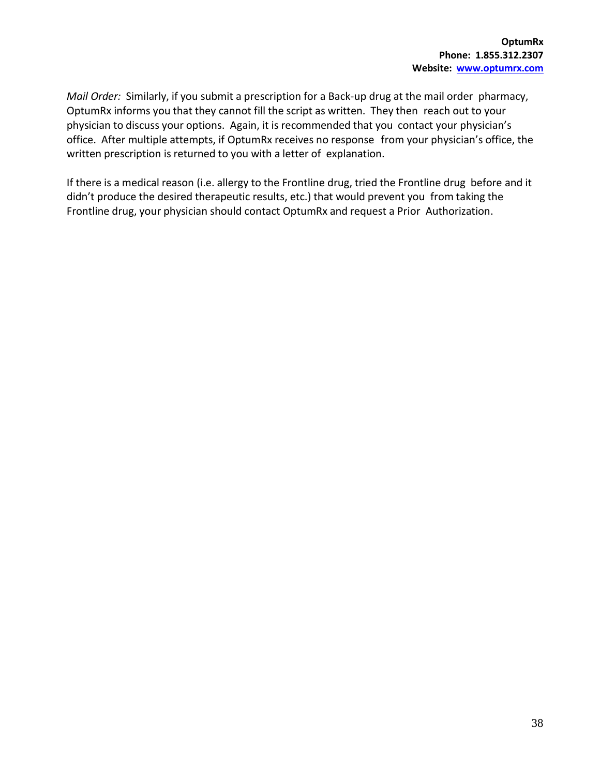*Mail Order:* Similarly, if you submit a prescription for a Back-up drug at the mail order pharmacy, OptumRx informs you that they cannot fill the script as written. They then reach out to your physician to discuss your options. Again, it is recommended that you contact your physician's office. After multiple attempts, if OptumRx receives no response from your physician's office, the written prescription is returned to you with a letter of explanation.

If there is a medical reason (i.e. allergy to the Frontline drug, tried the Frontline drug before and it didn't produce the desired therapeutic results, etc.) that would prevent you from taking the Frontline drug, your physician should contact OptumRx and request a Prior Authorization.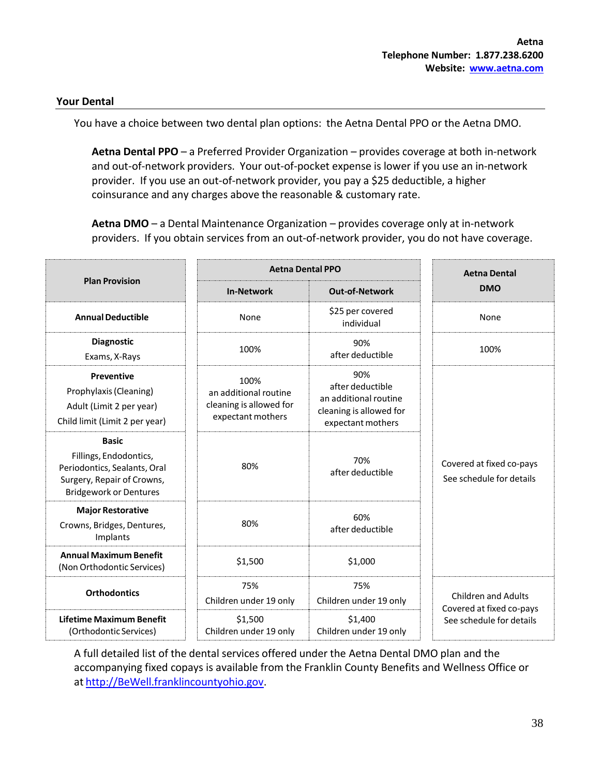### <span id="page-39-0"></span>**Your Dental**

You have a choice between two dental plan options: the Aetna Dental PPO or the Aetna DMO.

**Aetna Dental PPO** – a Preferred Provider Organization – provides coverage at both in-network and out-of-network providers. Your out-of-pocket expense is lower if you use an in-network provider. If you use an out-of-network provider, you pay a \$25 deductible, a higher coinsurance and any charges above the reasonable & customary rate.

**Aetna DMO** – a Dental Maintenance Organization – provides coverage only at in-network providers. If you obtain services from an out-of-network provider, you do not have coverage.

|                                                                                                                                       | <b>Aetna Dental PPO</b>                                                       |                                                                                                  | <b>Aetna Dental</b>                                    |
|---------------------------------------------------------------------------------------------------------------------------------------|-------------------------------------------------------------------------------|--------------------------------------------------------------------------------------------------|--------------------------------------------------------|
| <b>Plan Provision</b>                                                                                                                 | <b>In-Network</b>                                                             | <b>Out-of-Network</b>                                                                            | <b>DMO</b>                                             |
| <b>Annual Deductible</b>                                                                                                              | None                                                                          | \$25 per covered<br>individual                                                                   | None                                                   |
| <b>Diagnostic</b><br>Exams, X-Rays                                                                                                    | 100%                                                                          | 90%<br>after deductible                                                                          | 100%                                                   |
| <b>Preventive</b><br>Prophylaxis (Cleaning)<br>Adult (Limit 2 per year)<br>Child limit (Limit 2 per year)                             | 100%<br>an additional routine<br>cleaning is allowed for<br>expectant mothers | 90%<br>after deductible<br>an additional routine<br>cleaning is allowed for<br>expectant mothers |                                                        |
| <b>Basic</b><br>Fillings, Endodontics,<br>Periodontics, Sealants, Oral<br>Surgery, Repair of Crowns,<br><b>Bridgework or Dentures</b> | 80%                                                                           | 70%<br>after deductible                                                                          | Covered at fixed co-pays<br>See schedule for details   |
| <b>Major Restorative</b><br>Crowns, Bridges, Dentures,<br>Implants                                                                    | 80%                                                                           | 60%<br>after deductible                                                                          |                                                        |
| <b>Annual Maximum Benefit</b><br>(Non Orthodontic Services)                                                                           | \$1,500                                                                       | \$1,000                                                                                          |                                                        |
| <b>Orthodontics</b>                                                                                                                   | 75%<br>Children under 19 only                                                 | 75%<br>Children under 19 only                                                                    | <b>Children and Adults</b><br>Covered at fixed co-pays |
| Lifetime Maximum Benefit<br>(Orthodontic Services)                                                                                    | \$1,500<br>Children under 19 only                                             | \$1,400<br>Children under 19 only                                                                | See schedule for details                               |

A full detailed list of the dental services offered under the Aetna Dental DMO plan and the accompanying fixed copays is available from the Franklin County Benefits and Wellness Office or at [http://BeWell.franklincountyohio.gov.](http://bewell.franklincountyohio.gov/)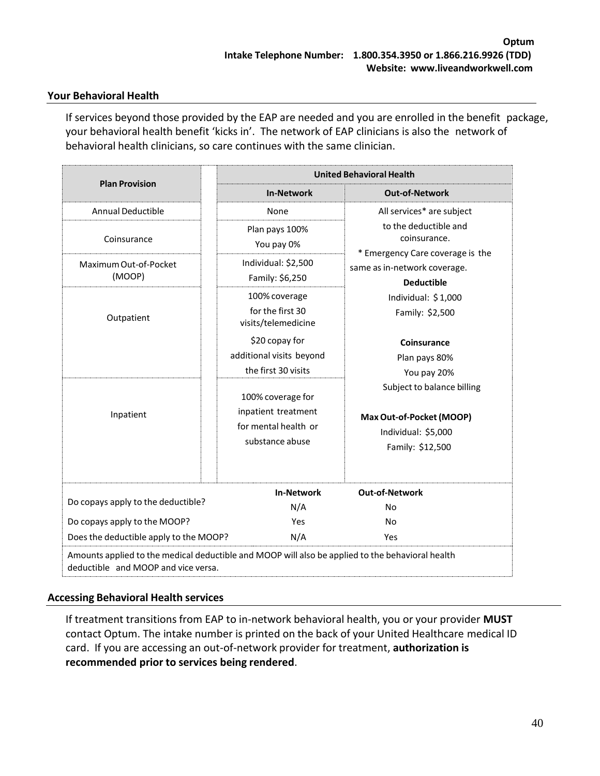### <span id="page-40-0"></span>**Your Behavioral Health**

If services beyond those provided by the EAP are needed and you are enrolled in the benefit package, your behavioral health benefit 'kicks in'. The network of EAP clinicians is also the network of behavioral health clinicians, so care continues with the same clinician.

|                                                                                                                                         | <b>United Behavioral Health</b>                                                     |                                                                                                   |  |
|-----------------------------------------------------------------------------------------------------------------------------------------|-------------------------------------------------------------------------------------|---------------------------------------------------------------------------------------------------|--|
| <b>Plan Provision</b>                                                                                                                   | <b>In-Network</b>                                                                   | <b>Out-of-Network</b>                                                                             |  |
| <b>Annual Deductible</b>                                                                                                                | None                                                                                | All services* are subject                                                                         |  |
| Coinsurance                                                                                                                             | Plan pays 100%<br>You pay 0%                                                        | to the deductible and<br>coinsurance.<br>* Emergency Care coverage is the                         |  |
| Maximum Out-of-Pocket<br>(MOOP)                                                                                                         | Individual: \$2,500<br>Family: \$6,250                                              | same as in-network coverage.<br><b>Deductible</b>                                                 |  |
| Outpatient                                                                                                                              | 100% coverage<br>for the first 30<br>visits/telemedicine                            | Individual: $$1,000$<br>Family: \$2,500                                                           |  |
|                                                                                                                                         | \$20 copay for<br>additional visits beyond<br>the first 30 visits                   | Coinsurance<br>Plan pays 80%<br>You pay 20%                                                       |  |
| Inpatient                                                                                                                               | 100% coverage for<br>inpatient treatment<br>for mental health or<br>substance abuse | Subject to balance billing<br>Max Out-of-Pocket (MOOP)<br>Individual: \$5,000<br>Family: \$12,500 |  |
| Do copays apply to the deductible?<br>Do copays apply to the MOOP?<br>Does the deductible apply to the MOOP?                            | <b>In-Network</b><br>N/A<br>Yes<br>N/A                                              | <b>Out-of-Network</b><br>N <sub>o</sub><br><b>No</b><br>Yes                                       |  |
| Amounts applied to the medical deductible and MOOP will also be applied to the behavioral health<br>deductible and MOOP and vice versa. |                                                                                     |                                                                                                   |  |

### **Accessing Behavioral Health services**

If treatment transitions from EAP to in-network behavioral health, you or your provider **MUST** contact Optum. The intake number is printed on the back of your United Healthcare medical ID card. If you are accessing an out-of-network provider for treatment, **authorization is recommended prior to services being rendered**.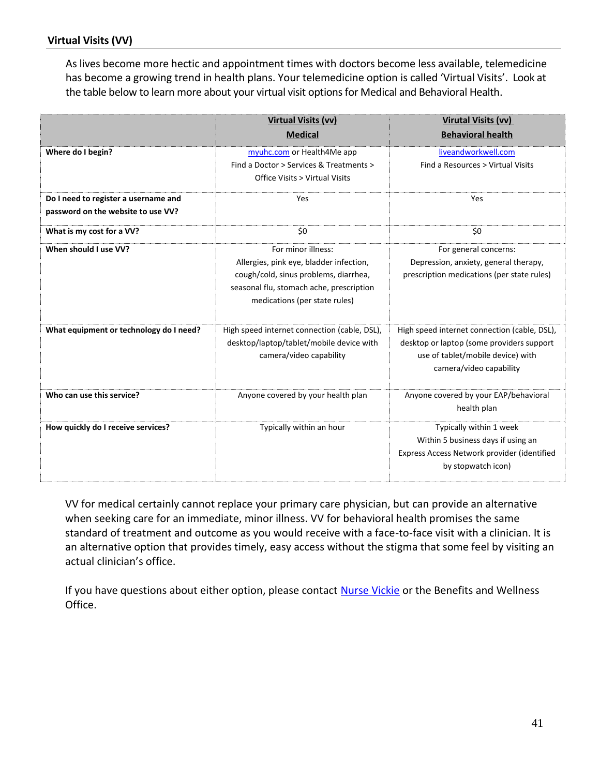As lives become more hectic and appointment times with doctors become less available, telemedicine has become a growing trend in health plans. Your telemedicine option is called 'Virtual Visits'. Look at the table below to learn more about your virtual visit options for Medical and Behavioral Health.

|                                                                            | <b>Virtual Visits (vv)</b><br><b>Medical</b>                                                                                                                                        | <b>Virutal Visits (vv)</b><br><b>Behavioral health</b>                                                                                                    |
|----------------------------------------------------------------------------|-------------------------------------------------------------------------------------------------------------------------------------------------------------------------------------|-----------------------------------------------------------------------------------------------------------------------------------------------------------|
| Where do I begin?                                                          | myuhc.com or Health4Me app<br>Find a Doctor > Services & Treatments ><br>Office Visits > Virtual Visits                                                                             | liveandworkwell.com<br>Find a Resources > Virtual Visits                                                                                                  |
| Do I need to register a username and<br>password on the website to use VV? | Yes                                                                                                                                                                                 | Yes                                                                                                                                                       |
| What is my cost for a VV?                                                  | \$0                                                                                                                                                                                 | \$0                                                                                                                                                       |
| When should I use VV?                                                      | For minor illness:<br>Allergies, pink eye, bladder infection,<br>cough/cold, sinus problems, diarrhea,<br>seasonal flu, stomach ache, prescription<br>medications (per state rules) | For general concerns:<br>Depression, anxiety, general therapy,<br>prescription medications (per state rules)                                              |
| What equipment or technology do I need?                                    | High speed internet connection (cable, DSL),<br>desktop/laptop/tablet/mobile device with<br>camera/video capability                                                                 | High speed internet connection (cable, DSL),<br>desktop or laptop (some providers support<br>use of tablet/mobile device) with<br>camera/video capability |
| Who can use this service?                                                  | Anyone covered by your health plan                                                                                                                                                  | Anyone covered by your EAP/behavioral<br>health plan                                                                                                      |
| How quickly do I receive services?                                         | Typically within an hour                                                                                                                                                            | Typically within 1 week<br>Within 5 business days if using an<br>Express Access Network provider (identified<br>by stopwatch icon)                        |

VV for medical certainly cannot replace your primary care physician, but can provide an alternative when seeking care for an immediate, minor illness. VV for behavioral health promises the same standard of treatment and outcome as you would receive with a face-to-face visit with a clinician. It is an alternative option that provides timely, easy access without the stigma that some feel by visiting an actual clinician's office.

If you have questions about either option, please contact Nurse Vickie or the Benefits and Wellness Office.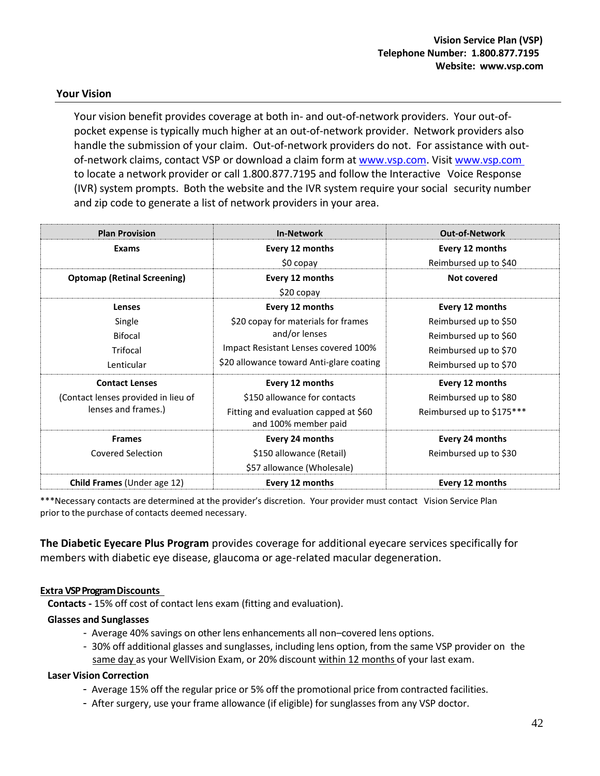### <span id="page-42-0"></span>**Your Vision**

Your vision benefit provides coverage at both in- and out-of-network providers. Your out-ofpocket expense is typically much higher at an out-of-network provider. Network providers also handle the submission of your claim. Out-of-network providers do not. For assistance with outof-network claims, contact VSP or download a claim form at [www.vsp.com.](http://www.vsp.com/) Visit [www.vsp.com](http://www.vsp.com/)  to locate a network provider or call 1.800.877.7195 and follow the Interactive Voice Response (IVR) system prompts. Both the website and the IVR system require your social security number and zip code to generate a list of network providers in your area.

| <b>Plan Provision</b>               | <b>In-Network</b>                                             | <b>Out-of-Network</b>     |
|-------------------------------------|---------------------------------------------------------------|---------------------------|
| Exams                               | Every 12 months                                               | Every 12 months           |
|                                     | \$0 copay                                                     | Reimbursed up to \$40     |
| <b>Optomap (Retinal Screening)</b>  | Every 12 months                                               | Not covered               |
|                                     | $$20$ copay                                                   |                           |
| Lenses                              | Every 12 months                                               | Every 12 months           |
| Single                              | \$20 copay for materials for frames                           | Reimbursed up to \$50     |
| Bifocal                             | and/or lenses                                                 | Reimbursed up to \$60     |
| Trifocal                            | Impact Resistant Lenses covered 100%                          | Reimbursed up to \$70     |
| Lenticular                          | \$20 allowance toward Anti-glare coating                      | Reimbursed up to \$70     |
| <b>Contact Lenses</b>               | Every 12 months                                               | Every 12 months           |
| (Contact lenses provided in lieu of | \$150 allowance for contacts                                  | Reimbursed up to \$80     |
| lenses and frames.)                 | Fitting and evaluation capped at \$60<br>and 100% member paid | Reimbursed up to \$175*** |
| <b>Frames</b>                       | Every 24 months                                               | Every 24 months           |
| <b>Covered Selection</b>            | \$150 allowance (Retail)                                      | Reimbursed up to \$30     |
|                                     | \$57 allowance (Wholesale)                                    |                           |
| <b>Child Frames (Under age 12)</b>  | Every 12 months                                               | Every 12 months           |

\*\*\*Necessary contacts are determined at the provider's discretion. Your provider must contact Vision Service Plan prior to the purchase of contacts deemed necessary.

**The Diabetic Eyecare Plus Program** provides coverage for additional eyecare services specifically for members with diabetic eye disease, glaucoma or age-related macular degeneration.

### **Extra VSP Program Discounts**

**Contacts -** 15% off cost of contact lens exam (fitting and evaluation).

### **Glasses and Sunglasses**

- Average 40% savings on other lens enhancements all non–covered lens options.
- 30% off additional glasses and sunglasses, including lens option, from the same VSP provider on the same day as your WellVision Exam, or 20% discount within 12 months of your last exam.

### **Laser Vision Correction**

- Average 15% off the regular price or 5% off the promotional price from contracted facilities.
- After surgery, use your frame allowance (if eligible) for sunglasses from any VSP doctor.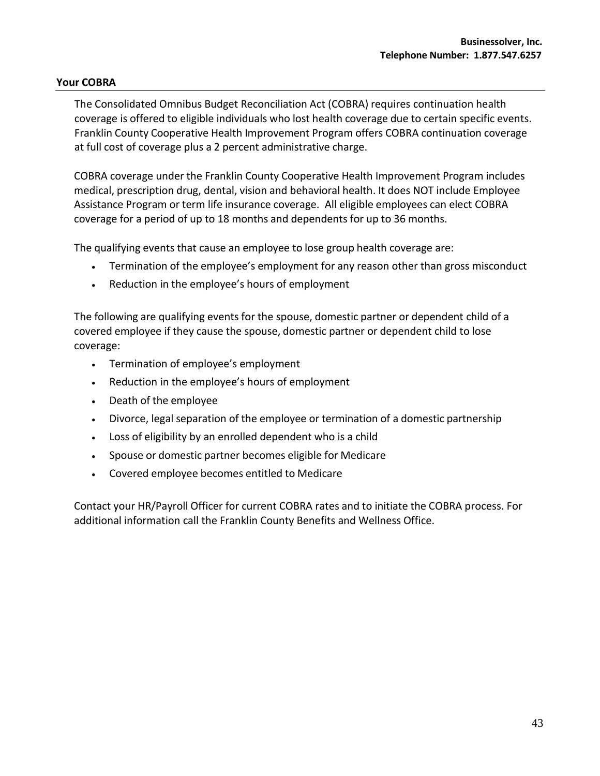### <span id="page-43-0"></span>**Your COBRA**

The Consolidated Omnibus Budget Reconciliation Act (COBRA) requires continuation health coverage is offered to eligible individuals who lost health coverage due to certain specific events. Franklin County Cooperative Health Improvement Program offers COBRA continuation coverage at full cost of coverage plus a 2 percent administrative charge.

COBRA coverage under the Franklin County Cooperative Health Improvement Program includes medical, prescription drug, dental, vision and behavioral health. It does NOT include Employee Assistance Program or term life insurance coverage. All eligible employees can elect COBRA coverage for a period of up to 18 months and dependents for up to 36 months.

The qualifying events that cause an employee to lose group health coverage are:

- Termination of the employee's employment for any reason other than gross misconduct
- Reduction in the employee's hours of employment

The following are qualifying events for the spouse, domestic partner or dependent child of a covered employee if they cause the spouse, domestic partner or dependent child to lose coverage:

- Termination of employee's employment
- Reduction in the employee's hours of employment
- Death of the employee
- Divorce, legal separation of the employee or termination of a domestic partnership
- Loss of eligibility by an enrolled dependent who is a child
- Spouse or domestic partner becomes eligible for Medicare
- Covered employee becomes entitled to Medicare

Contact your HR/Payroll Officer for current COBRA rates and to initiate the COBRA process. For additional information call the Franklin County Benefits and Wellness Office.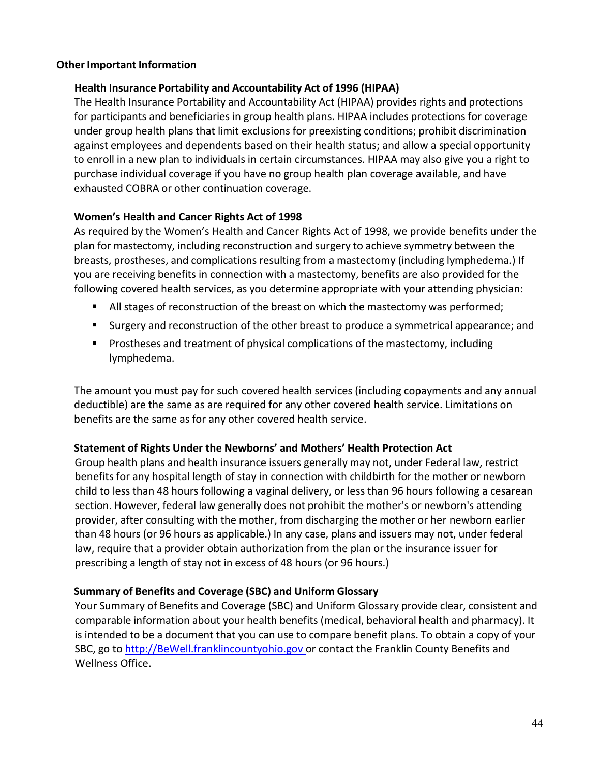### <span id="page-44-1"></span><span id="page-44-0"></span>**Other Important Information**

### **Health Insurance Portability and Accountability Act of 1996 (HIPAA)**

The Health Insurance Portability and Accountability Act (HIPAA) provides rights and protections for participants and beneficiaries in group health plans. HIPAA includes protections for coverage under group health plans that limit exclusions for preexisting conditions; prohibit discrimination against employees and dependents based on their health status; and allow a special opportunity to enroll in a new plan to individuals in certain circumstances. HIPAA may also give you a right to purchase individual coverage if you have no group health plan coverage available, and have exhausted COBRA or other continuation coverage.

### <span id="page-44-2"></span>**Women's Health and Cancer Rights Act of 1998**

As required by the Women's Health and Cancer Rights Act of 1998, we provide benefits under the plan for mastectomy, including reconstruction and surgery to achieve symmetry between the breasts, prostheses, and complications resulting from a mastectomy (including lymphedema.) If you are receiving benefits in connection with a mastectomy, benefits are also provided for the following covered health services, as you determine appropriate with your attending physician:

- All stages of reconstruction of the breast on which the mastectomy was performed;
- Surgery and reconstruction of the other breast to produce a symmetrical appearance; and
- Prostheses and treatment of physical complications of the mastectomy, including lymphedema.

The amount you must pay for such covered health services (including copayments and any annual deductible) are the same as are required for any other covered health service. Limitations on benefits are the same as for any other covered health service.

### **Statement of Rights Under the Newborns' and Mothers' Health Protection Act**

Group health plans and health insurance issuers generally may not, under Federal law, restrict benefits for any hospital length of stay in connection with childbirth for the mother or newborn child to less than 48 hours following a vaginal delivery, or less than 96 hours following a cesarean section. However, federal law generally does not prohibit the mother's or newborn's attending provider, after consulting with the mother, from discharging the mother or her newborn earlier than 48 hours (or 96 hours as applicable.) In any case, plans and issuers may not, under federal law, require that a provider obtain authorization from the plan or the insurance issuer for prescribing a length of stay not in excess of 48 hours (or 96 hours.)

### **Summary of Benefits and Coverage (SBC) and Uniform Glossary**

Your Summary of Benefits and Coverage (SBC) and Uniform Glossary provide clear, consistent and comparable information about your health benefits (medical, behavioral health and pharmacy). It is intended to be a document that you can use to compare benefit plans. To obtain a copy of your SBC, go to [http://BeWell.franklincountyohio.gov](http://bewell.franklincountyohio.gov/) or contact the Franklin County Benefits and Wellness Office.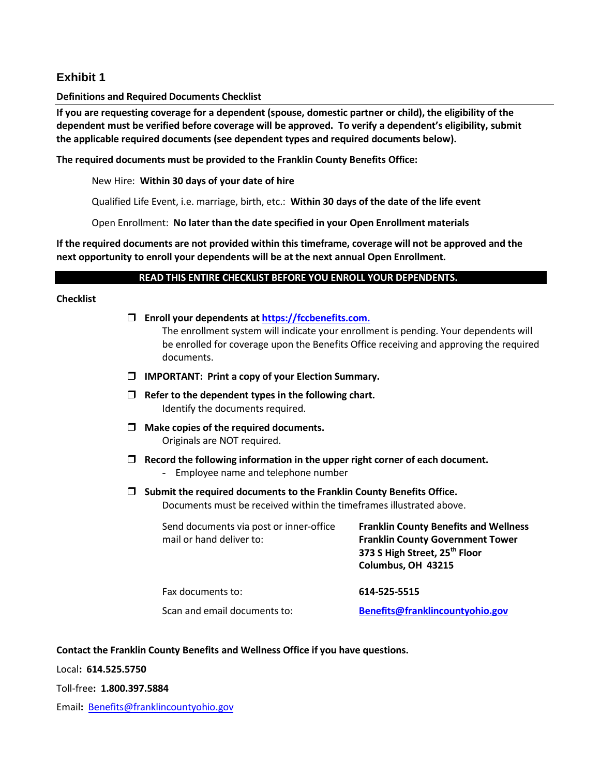### **Exhibit 1**

### **Definitions and Required Documents Checklist**

**If you are requesting coverage for a dependent (spouse, domestic partner or child), the eligibility of the dependent must be verified before coverage will be approved. To verify a dependent's eligibility, submit the applicable required documents (see dependent types and required documents below).**

**The required documents must be provided to the Franklin County Benefits Office:**

New Hire: **Within 30 days of your date of hire**

Qualified Life Event, i.e. marriage, birth, etc.: **Within 30 days of the date of the life event**

Open Enrollment: **No later than the date specified in your Open Enrollment materials**

**If the required documents are not provided within this timeframe, coverage will not be approved and the next opportunity to enroll your dependents will be at the next annual Open Enrollment.**

### **READ THIS ENTIRE CHECKLIST BEFORE YOU ENROLL YOUR DEPENDENTS.**

### **Checklist**

|        | Enroll your dependents at https://fccbenefits.com.<br>documents.                                                                               | The enrollment system will indicate your enrollment is pending. Your dependents will<br>be enrolled for coverage upon the Benefits Office receiving and approving the required |  |
|--------|------------------------------------------------------------------------------------------------------------------------------------------------|--------------------------------------------------------------------------------------------------------------------------------------------------------------------------------|--|
|        | <b>IMPORTANT: Print a copy of your Election Summary.</b>                                                                                       |                                                                                                                                                                                |  |
| $\Box$ | Refer to the dependent types in the following chart.<br>Identify the documents required.                                                       |                                                                                                                                                                                |  |
|        | Make copies of the required documents.<br>Originals are NOT required.                                                                          |                                                                                                                                                                                |  |
|        | Record the following information in the upper right corner of each document.<br>Employee name and telephone number<br>$\overline{\phantom{0}}$ |                                                                                                                                                                                |  |
|        | Submit the required documents to the Franklin County Benefits Office.<br>Documents must be received within the timeframes illustrated above.   |                                                                                                                                                                                |  |
|        | Send documents via post or inner-office<br>mail or hand deliver to:                                                                            | <b>Franklin County Benefits and Wellness</b><br><b>Franklin County Government Tower</b><br>373 S High Street, 25 <sup>th</sup> Floor<br>Columbus, OH 43215                     |  |
|        | Fax documents to:                                                                                                                              | 614-525-5515                                                                                                                                                                   |  |
|        | Scan and email documents to:                                                                                                                   | Benefits@franklincountyohio.gov                                                                                                                                                |  |

**Contact the Franklin County Benefits and Wellness Office if you have questions.**

Local**: 614.525.5750**

Toll-free**: 1.800.397.5884**

Email**:** [Benefits@franklincountyohio.gov](mailto:Benefits@franklincountyohio.gov)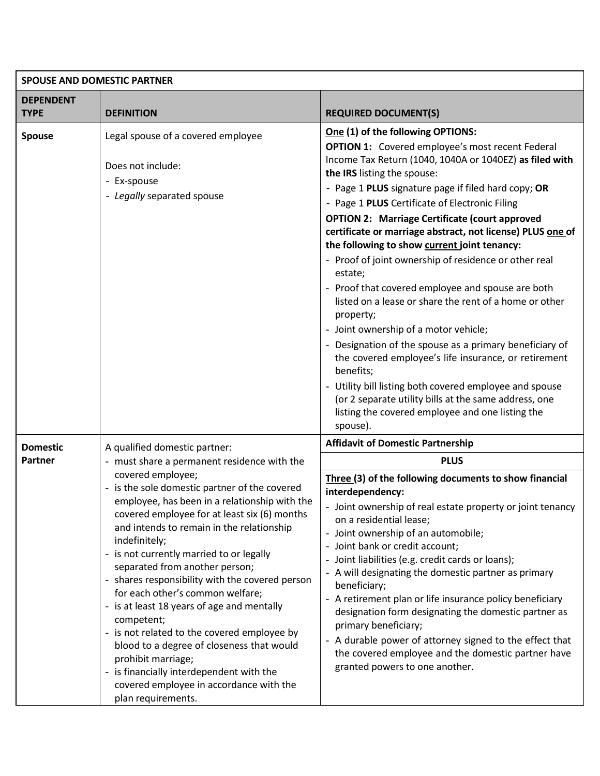| <b>SPOUSE AND DOMESTIC PARTNER</b> |                                                                                                                                                                                                                                                                                                                                                                                                                                                                                                                                                                                                                                                                                                   |                                                                                                                                                                                                                                                                                                                                                                                                                                                                                                                                                                                                                                                                                                                                                                                                                                                                                                                                                                                                                         |  |
|------------------------------------|---------------------------------------------------------------------------------------------------------------------------------------------------------------------------------------------------------------------------------------------------------------------------------------------------------------------------------------------------------------------------------------------------------------------------------------------------------------------------------------------------------------------------------------------------------------------------------------------------------------------------------------------------------------------------------------------------|-------------------------------------------------------------------------------------------------------------------------------------------------------------------------------------------------------------------------------------------------------------------------------------------------------------------------------------------------------------------------------------------------------------------------------------------------------------------------------------------------------------------------------------------------------------------------------------------------------------------------------------------------------------------------------------------------------------------------------------------------------------------------------------------------------------------------------------------------------------------------------------------------------------------------------------------------------------------------------------------------------------------------|--|
| <b>DEPENDENT</b>                   |                                                                                                                                                                                                                                                                                                                                                                                                                                                                                                                                                                                                                                                                                                   |                                                                                                                                                                                                                                                                                                                                                                                                                                                                                                                                                                                                                                                                                                                                                                                                                                                                                                                                                                                                                         |  |
| <b>TYPE</b>                        | <b>DEFINITION</b>                                                                                                                                                                                                                                                                                                                                                                                                                                                                                                                                                                                                                                                                                 | <b>REQUIRED DOCUMENT(S)</b>                                                                                                                                                                                                                                                                                                                                                                                                                                                                                                                                                                                                                                                                                                                                                                                                                                                                                                                                                                                             |  |
| <b>Spouse</b>                      | Legal spouse of a covered employee<br>Does not include:<br>- Ex-spouse<br>- Legally separated spouse                                                                                                                                                                                                                                                                                                                                                                                                                                                                                                                                                                                              | One (1) of the following OPTIONS:<br><b>OPTION 1:</b> Covered employee's most recent Federal<br>Income Tax Return (1040, 1040A or 1040EZ) as filed with<br>the IRS listing the spouse:<br>- Page 1 PLUS signature page if filed hard copy; OR<br>- Page 1 PLUS Certificate of Electronic Filing<br><b>OPTION 2: Marriage Certificate (court approved</b><br>certificate or marriage abstract, not license) PLUS one of<br>the following to show current joint tenancy:<br>- Proof of joint ownership of residence or other real<br>estate;<br>- Proof that covered employee and spouse are both<br>listed on a lease or share the rent of a home or other<br>property;<br>- Joint ownership of a motor vehicle;<br>- Designation of the spouse as a primary beneficiary of<br>the covered employee's life insurance, or retirement<br>benefits;<br>- Utility bill listing both covered employee and spouse<br>(or 2 separate utility bills at the same address, one<br>listing the covered employee and one listing the |  |
|                                    |                                                                                                                                                                                                                                                                                                                                                                                                                                                                                                                                                                                                                                                                                                   | spouse).<br><b>Affidavit of Domestic Partnership</b>                                                                                                                                                                                                                                                                                                                                                                                                                                                                                                                                                                                                                                                                                                                                                                                                                                                                                                                                                                    |  |
| <b>Domestic</b><br>Partner         | A qualified domestic partner:<br>- must share a permanent residence with the                                                                                                                                                                                                                                                                                                                                                                                                                                                                                                                                                                                                                      | <b>PLUS</b>                                                                                                                                                                                                                                                                                                                                                                                                                                                                                                                                                                                                                                                                                                                                                                                                                                                                                                                                                                                                             |  |
|                                    | covered employee;<br>- is the sole domestic partner of the covered<br>employee, has been in a relationship with the<br>covered employee for at least six (6) months<br>and intends to remain in the relationship<br>indefinitely;<br>- is not currently married to or legally<br>separated from another person;<br>- shares responsibility with the covered person<br>for each other's common welfare;<br>- is at least 18 years of age and mentally<br>competent;<br>- is not related to the covered employee by<br>blood to a degree of closeness that would<br>prohibit marriage;<br>- is financially interdependent with the<br>covered employee in accordance with the<br>plan requirements. | Three (3) of the following documents to show financial<br>interdependency:<br>- Joint ownership of real estate property or joint tenancy<br>on a residential lease;<br>- Joint ownership of an automobile;<br>- Joint bank or credit account;<br>- Joint liabilities (e.g. credit cards or loans);<br>- A will designating the domestic partner as primary<br>beneficiary;<br>- A retirement plan or life insurance policy beneficiary<br>designation form designating the domestic partner as<br>primary beneficiary;<br>- A durable power of attorney signed to the effect that<br>the covered employee and the domestic partner have<br>granted powers to one another.                                                                                                                                                                                                                                                                                                                                               |  |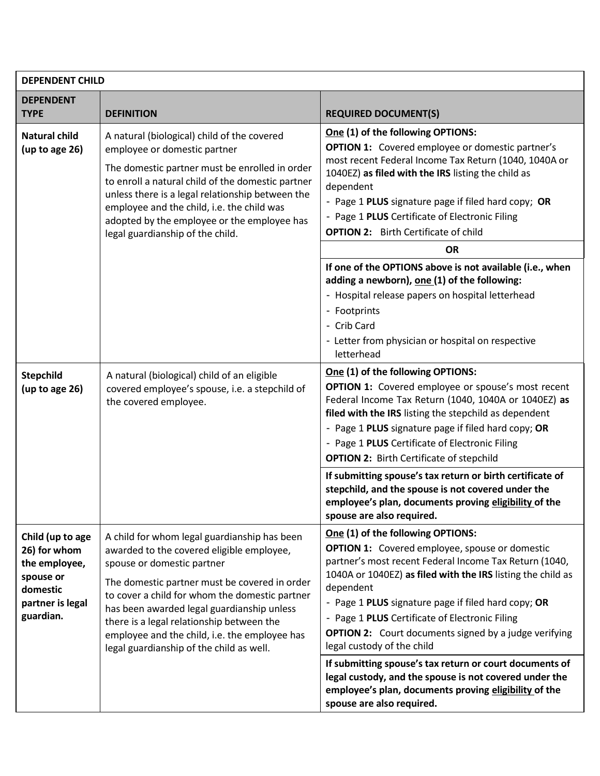| <b>DEPENDENT CHILD</b>                                                                                      |                                                                                                                                                                                                                                                                                                                                                                                                                    |                                                                                                                                                                                                                                                                                                                                                                                                                                         |  |  |
|-------------------------------------------------------------------------------------------------------------|--------------------------------------------------------------------------------------------------------------------------------------------------------------------------------------------------------------------------------------------------------------------------------------------------------------------------------------------------------------------------------------------------------------------|-----------------------------------------------------------------------------------------------------------------------------------------------------------------------------------------------------------------------------------------------------------------------------------------------------------------------------------------------------------------------------------------------------------------------------------------|--|--|
| <b>DEPENDENT</b><br><b>TYPE</b>                                                                             | <b>DEFINITION</b>                                                                                                                                                                                                                                                                                                                                                                                                  | <b>REQUIRED DOCUMENT(S)</b>                                                                                                                                                                                                                                                                                                                                                                                                             |  |  |
| <b>Natural child</b><br>(up to age 26)                                                                      | A natural (biological) child of the covered<br>employee or domestic partner<br>The domestic partner must be enrolled in order<br>to enroll a natural child of the domestic partner<br>dependent<br>unless there is a legal relationship between the<br>employee and the child, i.e. the child was<br>adopted by the employee or the employee has<br>legal guardianship of the child.                               | One (1) of the following OPTIONS:<br><b>OPTION 1:</b> Covered employee or domestic partner's<br>most recent Federal Income Tax Return (1040, 1040A or<br>1040EZ) as filed with the IRS listing the child as<br>- Page 1 PLUS signature page if filed hard copy; OR<br>- Page 1 PLUS Certificate of Electronic Filing<br><b>OPTION 2:</b> Birth Certificate of child                                                                     |  |  |
|                                                                                                             |                                                                                                                                                                                                                                                                                                                                                                                                                    | <b>OR</b>                                                                                                                                                                                                                                                                                                                                                                                                                               |  |  |
|                                                                                                             |                                                                                                                                                                                                                                                                                                                                                                                                                    | If one of the OPTIONS above is not available (i.e., when<br>adding a newborn), one (1) of the following:<br>- Hospital release papers on hospital letterhead<br>- Footprints<br>- Crib Card<br>- Letter from physician or hospital on respective<br>letterhead                                                                                                                                                                          |  |  |
| <b>Stepchild</b><br>(up to age 26)                                                                          | A natural (biological) child of an eligible<br>covered employee's spouse, i.e. a stepchild of<br>the covered employee.                                                                                                                                                                                                                                                                                             | One (1) of the following OPTIONS:<br>OPTION 1: Covered employee or spouse's most recent<br>Federal Income Tax Return (1040, 1040A or 1040EZ) as<br>filed with the IRS listing the stepchild as dependent<br>- Page 1 PLUS signature page if filed hard copy; OR<br>- Page 1 PLUS Certificate of Electronic Filing<br><b>OPTION 2: Birth Certificate of stepchild</b><br>If submitting spouse's tax return or birth certificate of       |  |  |
|                                                                                                             |                                                                                                                                                                                                                                                                                                                                                                                                                    | stepchild, and the spouse is not covered under the<br>employee's plan, documents proving eligibility of the<br>spouse are also required.                                                                                                                                                                                                                                                                                                |  |  |
| Child (up to age<br>26) for whom<br>the employee,<br>spouse or<br>domestic<br>partner is legal<br>guardian. | A child for whom legal guardianship has been<br>awarded to the covered eligible employee,<br>spouse or domestic partner<br>The domestic partner must be covered in order<br>to cover a child for whom the domestic partner<br>has been awarded legal guardianship unless<br>there is a legal relationship between the<br>employee and the child, i.e. the employee has<br>legal guardianship of the child as well. | One (1) of the following OPTIONS:<br><b>OPTION 1:</b> Covered employee, spouse or domestic<br>partner's most recent Federal Income Tax Return (1040,<br>1040A or 1040EZ) as filed with the IRS listing the child as<br>dependent<br>- Page 1 PLUS signature page if filed hard copy; OR<br>- Page 1 PLUS Certificate of Electronic Filing<br><b>OPTION 2:</b> Court documents signed by a judge verifying<br>legal custody of the child |  |  |
|                                                                                                             |                                                                                                                                                                                                                                                                                                                                                                                                                    | If submitting spouse's tax return or court documents of<br>legal custody, and the spouse is not covered under the<br>employee's plan, documents proving eligibility of the<br>spouse are also required.                                                                                                                                                                                                                                 |  |  |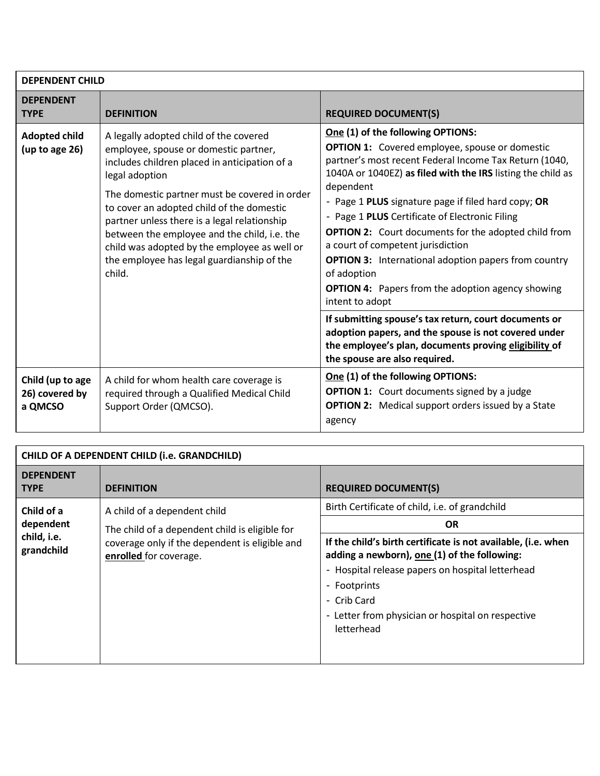| <b>DEPENDENT CHILD</b>                        |                                                                                                                                                                                                                                                                                                                                                                                                                                                          |                                                                                                                                                                                                                                                                                                                                                                                                                                                                                                                                                                                                                                                                     |  |
|-----------------------------------------------|----------------------------------------------------------------------------------------------------------------------------------------------------------------------------------------------------------------------------------------------------------------------------------------------------------------------------------------------------------------------------------------------------------------------------------------------------------|---------------------------------------------------------------------------------------------------------------------------------------------------------------------------------------------------------------------------------------------------------------------------------------------------------------------------------------------------------------------------------------------------------------------------------------------------------------------------------------------------------------------------------------------------------------------------------------------------------------------------------------------------------------------|--|
| <b>DEPENDENT</b><br><b>TYPE</b>               | <b>DEFINITION</b>                                                                                                                                                                                                                                                                                                                                                                                                                                        | <b>REQUIRED DOCUMENT(S)</b>                                                                                                                                                                                                                                                                                                                                                                                                                                                                                                                                                                                                                                         |  |
| <b>Adopted child</b><br>(up to age 26)        | A legally adopted child of the covered<br>employee, spouse or domestic partner,<br>includes children placed in anticipation of a<br>legal adoption<br>The domestic partner must be covered in order<br>to cover an adopted child of the domestic<br>partner unless there is a legal relationship<br>between the employee and the child, i.e. the<br>child was adopted by the employee as well or<br>the employee has legal guardianship of the<br>child. | One (1) of the following OPTIONS:<br><b>OPTION 1:</b> Covered employee, spouse or domestic<br>partner's most recent Federal Income Tax Return (1040,<br>1040A or 1040EZ) as filed with the IRS listing the child as<br>dependent<br>- Page 1 PLUS signature page if filed hard copy; OR<br>- Page 1 PLUS Certificate of Electronic Filing<br><b>OPTION 2:</b> Court documents for the adopted child from<br>a court of competent jurisdiction<br><b>OPTION 3:</b> International adoption papers from country<br>of adoption<br><b>OPTION 4:</b> Papers from the adoption agency showing<br>intent to adopt<br>If submitting spouse's tax return, court documents or |  |
|                                               | adoption papers, and the spouse is not covered under<br>the employee's plan, documents proving eligibility of<br>the spouse are also required.                                                                                                                                                                                                                                                                                                           |                                                                                                                                                                                                                                                                                                                                                                                                                                                                                                                                                                                                                                                                     |  |
| Child (up to age<br>26) covered by<br>a QMCSO | A child for whom health care coverage is<br>required through a Qualified Medical Child<br>Support Order (QMCSO).                                                                                                                                                                                                                                                                                                                                         | One (1) of the following OPTIONS:<br><b>OPTION 1:</b> Court documents signed by a judge<br><b>OPTION 2:</b> Medical support orders issued by a State<br>agency                                                                                                                                                                                                                                                                                                                                                                                                                                                                                                      |  |

| CHILD OF A DEPENDENT CHILD (i.e. GRANDCHILD) |                                                                          |                                                                                                                                                                                                                                                                     |
|----------------------------------------------|--------------------------------------------------------------------------|---------------------------------------------------------------------------------------------------------------------------------------------------------------------------------------------------------------------------------------------------------------------|
| <b>DEPENDENT</b><br><b>TYPE</b>              | <b>DEFINITION</b>                                                        | <b>REQUIRED DOCUMENT(S)</b>                                                                                                                                                                                                                                         |
| Child of a                                   | A child of a dependent child                                             | Birth Certificate of child, i.e. of grandchild                                                                                                                                                                                                                      |
| dependent                                    | The child of a dependent child is eligible for                           | <b>OR</b>                                                                                                                                                                                                                                                           |
| child, i.e.<br>grandchild                    | coverage only if the dependent is eligible and<br>enrolled for coverage. | If the child's birth certificate is not available, (i.e. when<br>adding a newborn), one (1) of the following:<br>- Hospital release papers on hospital letterhead<br>- Footprints<br>- Crib Card<br>- Letter from physician or hospital on respective<br>letterhead |